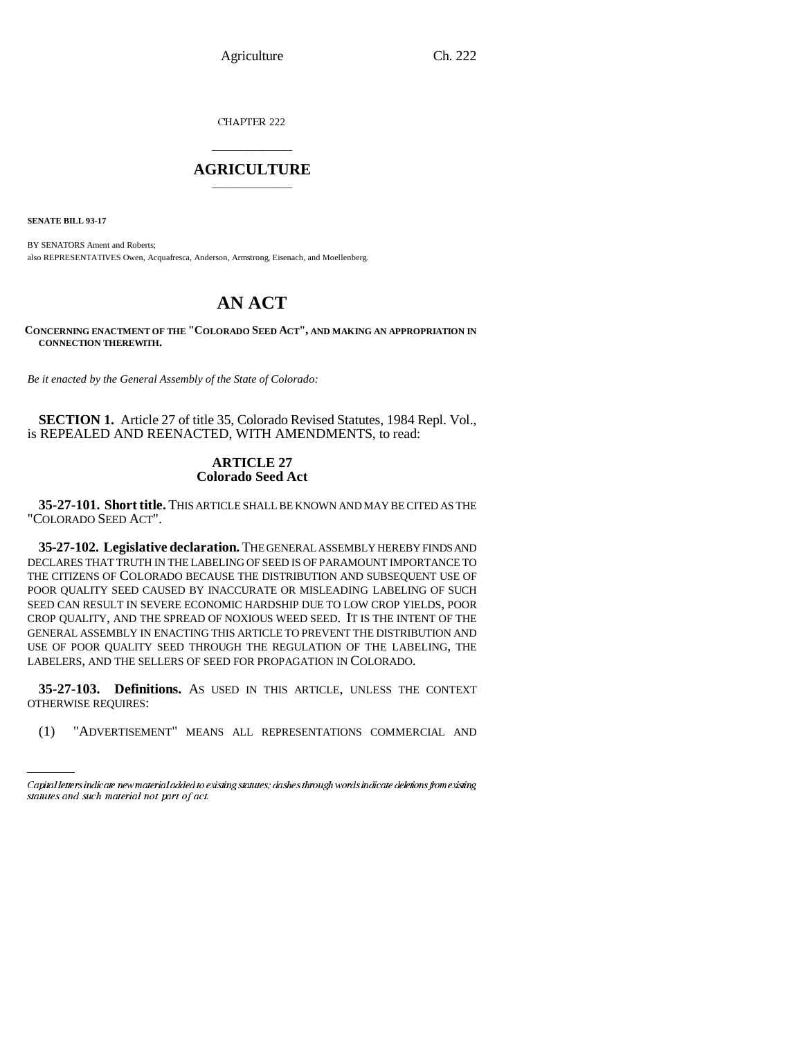Agriculture Ch. 222

CHAPTER 222

# \_\_\_\_\_\_\_\_\_\_\_\_\_\_\_ **AGRICULTURE** \_\_\_\_\_\_\_\_\_\_\_\_\_\_\_

**SENATE BILL 93-17**

BY SENATORS Ament and Roberts; also REPRESENTATIVES Owen, Acquafresca, Anderson, Armstrong, Eisenach, and Moellenberg.

# **AN ACT**

**CONCERNING ENACTMENT OF THE "COLORADO SEED ACT", AND MAKING AN APPROPRIATION IN CONNECTION THEREWITH.**

*Be it enacted by the General Assembly of the State of Colorado:*

**SECTION 1.** Article 27 of title 35, Colorado Revised Statutes, 1984 Repl. Vol., is REPEALED AND REENACTED, WITH AMENDMENTS, to read:

# **ARTICLE 27 Colorado Seed Act**

**35-27-101. Short title.** THIS ARTICLE SHALL BE KNOWN AND MAY BE CITED AS THE "COLORADO SEED ACT".

**35-27-102. Legislative declaration.** THE GENERAL ASSEMBLY HEREBY FINDS AND DECLARES THAT TRUTH IN THE LABELING OF SEED IS OF PARAMOUNT IMPORTANCE TO THE CITIZENS OF COLORADO BECAUSE THE DISTRIBUTION AND SUBSEQUENT USE OF POOR QUALITY SEED CAUSED BY INACCURATE OR MISLEADING LABELING OF SUCH SEED CAN RESULT IN SEVERE ECONOMIC HARDSHIP DUE TO LOW CROP YIELDS, POOR CROP QUALITY, AND THE SPREAD OF NOXIOUS WEED SEED. IT IS THE INTENT OF THE GENERAL ASSEMBLY IN ENACTING THIS ARTICLE TO PREVENT THE DISTRIBUTION AND USE OF POOR QUALITY SEED THROUGH THE REGULATION OF THE LABELING, THE LABELERS, AND THE SELLERS OF SEED FOR PROPAGATION IN COLORADO.

**35-27-103. Definitions.** AS USED IN THIS ARTICLE, UNLESS THE CONTEXT OTHERWISE REQUIRES:

 $(1)$ "ADVERTISEMENT" MEANS ALL REPRESENTATIONS COMMERCIAL AND

Capital letters indicate new material added to existing statutes; dashes through words indicate deletions from existing statutes and such material not part of act.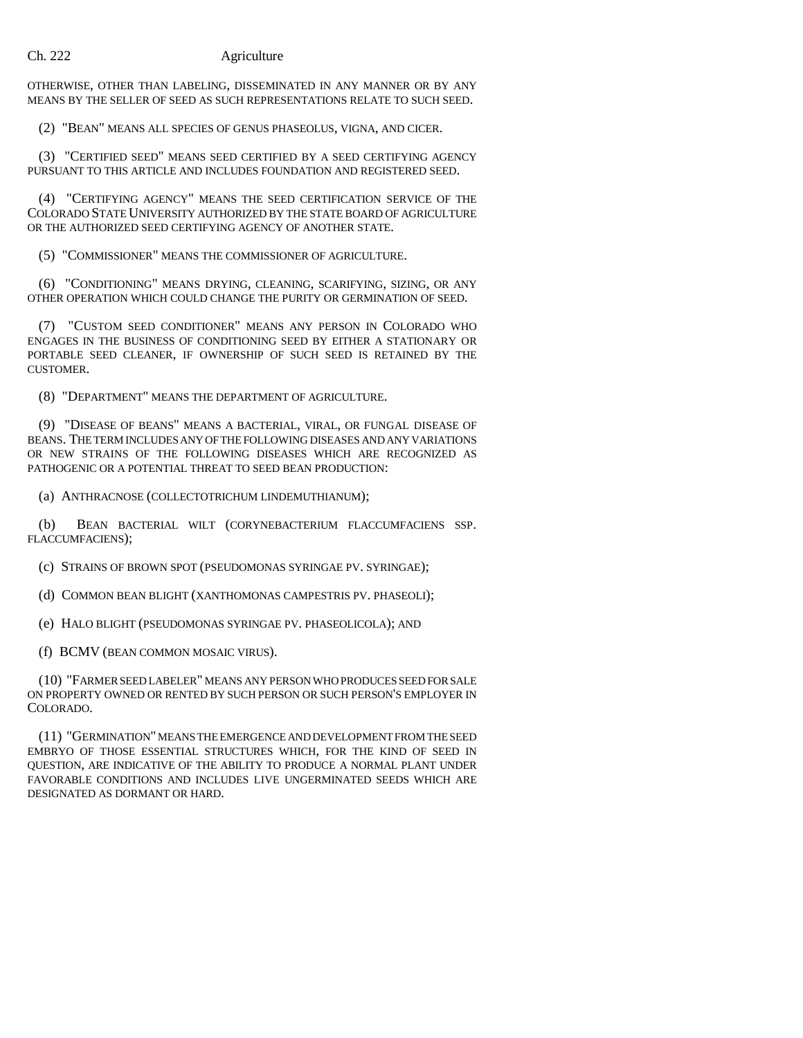OTHERWISE, OTHER THAN LABELING, DISSEMINATED IN ANY MANNER OR BY ANY MEANS BY THE SELLER OF SEED AS SUCH REPRESENTATIONS RELATE TO SUCH SEED.

(2) "BEAN" MEANS ALL SPECIES OF GENUS PHASEOLUS, VIGNA, AND CICER.

(3) "CERTIFIED SEED" MEANS SEED CERTIFIED BY A SEED CERTIFYING AGENCY PURSUANT TO THIS ARTICLE AND INCLUDES FOUNDATION AND REGISTERED SEED.

(4) "CERTIFYING AGENCY" MEANS THE SEED CERTIFICATION SERVICE OF THE COLORADO STATE UNIVERSITY AUTHORIZED BY THE STATE BOARD OF AGRICULTURE OR THE AUTHORIZED SEED CERTIFYING AGENCY OF ANOTHER STATE.

(5) "COMMISSIONER" MEANS THE COMMISSIONER OF AGRICULTURE.

(6) "CONDITIONING" MEANS DRYING, CLEANING, SCARIFYING, SIZING, OR ANY OTHER OPERATION WHICH COULD CHANGE THE PURITY OR GERMINATION OF SEED.

(7) "CUSTOM SEED CONDITIONER" MEANS ANY PERSON IN COLORADO WHO ENGAGES IN THE BUSINESS OF CONDITIONING SEED BY EITHER A STATIONARY OR PORTABLE SEED CLEANER, IF OWNERSHIP OF SUCH SEED IS RETAINED BY THE CUSTOMER.

(8) "DEPARTMENT" MEANS THE DEPARTMENT OF AGRICULTURE.

(9) "DISEASE OF BEANS" MEANS A BACTERIAL, VIRAL, OR FUNGAL DISEASE OF BEANS. THE TERM INCLUDES ANY OF THE FOLLOWING DISEASES AND ANY VARIATIONS OR NEW STRAINS OF THE FOLLOWING DISEASES WHICH ARE RECOGNIZED AS PATHOGENIC OR A POTENTIAL THREAT TO SEED BEAN PRODUCTION:

(a) ANTHRACNOSE (COLLECTOTRICHUM LINDEMUTHIANUM);

(b) BEAN BACTERIAL WILT (CORYNEBACTERIUM FLACCUMFACIENS SSP. FLACCUMFACIENS);

(c) STRAINS OF BROWN SPOT (PSEUDOMONAS SYRINGAE PV. SYRINGAE);

(d) COMMON BEAN BLIGHT (XANTHOMONAS CAMPESTRIS PV. PHASEOLI);

(e) HALO BLIGHT (PSEUDOMONAS SYRINGAE PV. PHASEOLICOLA); AND

(f) BCMV (BEAN COMMON MOSAIC VIRUS).

(10) "FARMER SEED LABELER" MEANS ANY PERSON WHO PRODUCES SEED FOR SALE ON PROPERTY OWNED OR RENTED BY SUCH PERSON OR SUCH PERSON'S EMPLOYER IN COLORADO.

(11) "GERMINATION" MEANS THE EMERGENCE AND DEVELOPMENT FROM THE SEED EMBRYO OF THOSE ESSENTIAL STRUCTURES WHICH, FOR THE KIND OF SEED IN QUESTION, ARE INDICATIVE OF THE ABILITY TO PRODUCE A NORMAL PLANT UNDER FAVORABLE CONDITIONS AND INCLUDES LIVE UNGERMINATED SEEDS WHICH ARE DESIGNATED AS DORMANT OR HARD.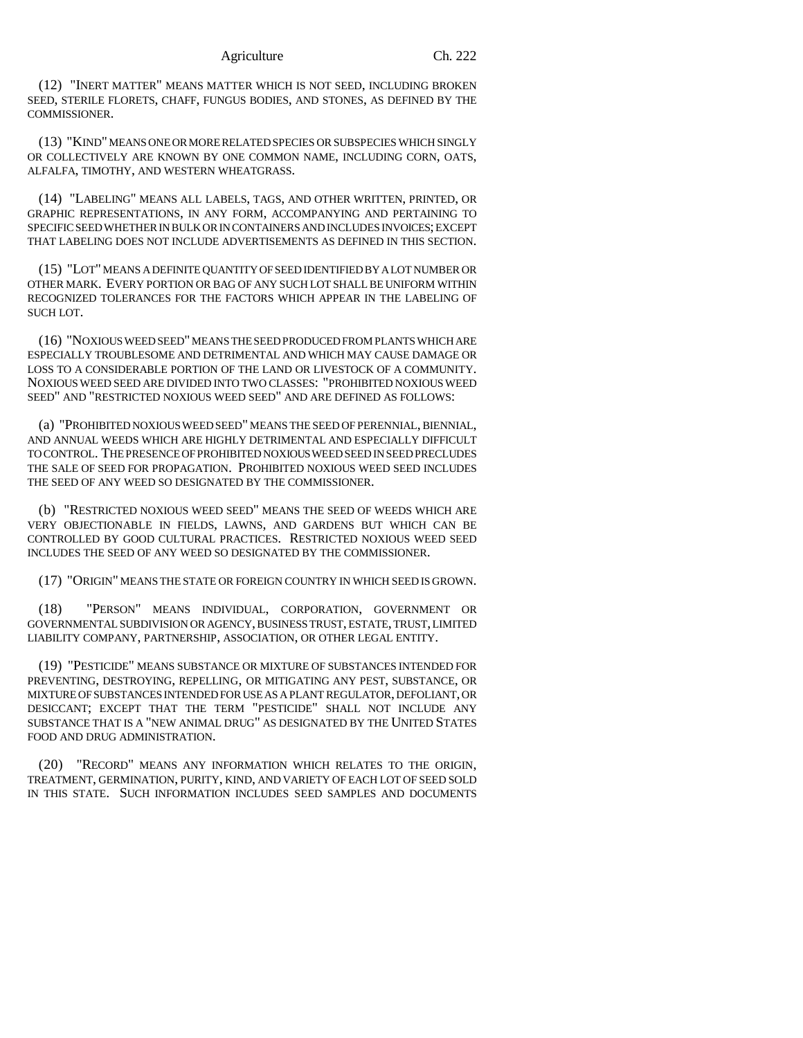(12) "INERT MATTER" MEANS MATTER WHICH IS NOT SEED, INCLUDING BROKEN SEED, STERILE FLORETS, CHAFF, FUNGUS BODIES, AND STONES, AS DEFINED BY THE COMMISSIONER.

(13) "KIND" MEANS ONE OR MORE RELATED SPECIES OR SUBSPECIES WHICH SINGLY OR COLLECTIVELY ARE KNOWN BY ONE COMMON NAME, INCLUDING CORN, OATS, ALFALFA, TIMOTHY, AND WESTERN WHEATGRASS.

(14) "LABELING" MEANS ALL LABELS, TAGS, AND OTHER WRITTEN, PRINTED, OR GRAPHIC REPRESENTATIONS, IN ANY FORM, ACCOMPANYING AND PERTAINING TO SPECIFIC SEED WHETHER IN BULK OR IN CONTAINERS AND INCLUDES INVOICES; EXCEPT THAT LABELING DOES NOT INCLUDE ADVERTISEMENTS AS DEFINED IN THIS SECTION.

(15) "LOT" MEANS A DEFINITE QUANTITY OF SEED IDENTIFIED BY A LOT NUMBER OR OTHER MARK. EVERY PORTION OR BAG OF ANY SUCH LOT SHALL BE UNIFORM WITHIN RECOGNIZED TOLERANCES FOR THE FACTORS WHICH APPEAR IN THE LABELING OF SUCH LOT.

(16) "NOXIOUS WEED SEED" MEANS THE SEED PRODUCED FROM PLANTS WHICH ARE ESPECIALLY TROUBLESOME AND DETRIMENTAL AND WHICH MAY CAUSE DAMAGE OR LOSS TO A CONSIDERABLE PORTION OF THE LAND OR LIVESTOCK OF A COMMUNITY. NOXIOUS WEED SEED ARE DIVIDED INTO TWO CLASSES: "PROHIBITED NOXIOUS WEED SEED" AND "RESTRICTED NOXIOUS WEED SEED" AND ARE DEFINED AS FOLLOWS:

(a) "PROHIBITED NOXIOUS WEED SEED" MEANS THE SEED OF PERENNIAL, BIENNIAL, AND ANNUAL WEEDS WHICH ARE HIGHLY DETRIMENTAL AND ESPECIALLY DIFFICULT TO CONTROL. THE PRESENCE OF PROHIBITED NOXIOUS WEED SEED IN SEED PRECLUDES THE SALE OF SEED FOR PROPAGATION. PROHIBITED NOXIOUS WEED SEED INCLUDES THE SEED OF ANY WEED SO DESIGNATED BY THE COMMISSIONER.

(b) "RESTRICTED NOXIOUS WEED SEED" MEANS THE SEED OF WEEDS WHICH ARE VERY OBJECTIONABLE IN FIELDS, LAWNS, AND GARDENS BUT WHICH CAN BE CONTROLLED BY GOOD CULTURAL PRACTICES. RESTRICTED NOXIOUS WEED SEED INCLUDES THE SEED OF ANY WEED SO DESIGNATED BY THE COMMISSIONER.

(17) "ORIGIN" MEANS THE STATE OR FOREIGN COUNTRY IN WHICH SEED IS GROWN.

(18) "PERSON" MEANS INDIVIDUAL, CORPORATION, GOVERNMENT OR GOVERNMENTAL SUBDIVISION OR AGENCY, BUSINESS TRUST, ESTATE, TRUST, LIMITED LIABILITY COMPANY, PARTNERSHIP, ASSOCIATION, OR OTHER LEGAL ENTITY.

(19) "PESTICIDE" MEANS SUBSTANCE OR MIXTURE OF SUBSTANCES INTENDED FOR PREVENTING, DESTROYING, REPELLING, OR MITIGATING ANY PEST, SUBSTANCE, OR MIXTURE OF SUBSTANCES INTENDED FOR USE AS A PLANT REGULATOR, DEFOLIANT, OR DESICCANT; EXCEPT THAT THE TERM "PESTICIDE" SHALL NOT INCLUDE ANY SUBSTANCE THAT IS A "NEW ANIMAL DRUG" AS DESIGNATED BY THE UNITED STATES FOOD AND DRUG ADMINISTRATION.

(20) "RECORD" MEANS ANY INFORMATION WHICH RELATES TO THE ORIGIN, TREATMENT, GERMINATION, PURITY, KIND, AND VARIETY OF EACH LOT OF SEED SOLD IN THIS STATE. SUCH INFORMATION INCLUDES SEED SAMPLES AND DOCUMENTS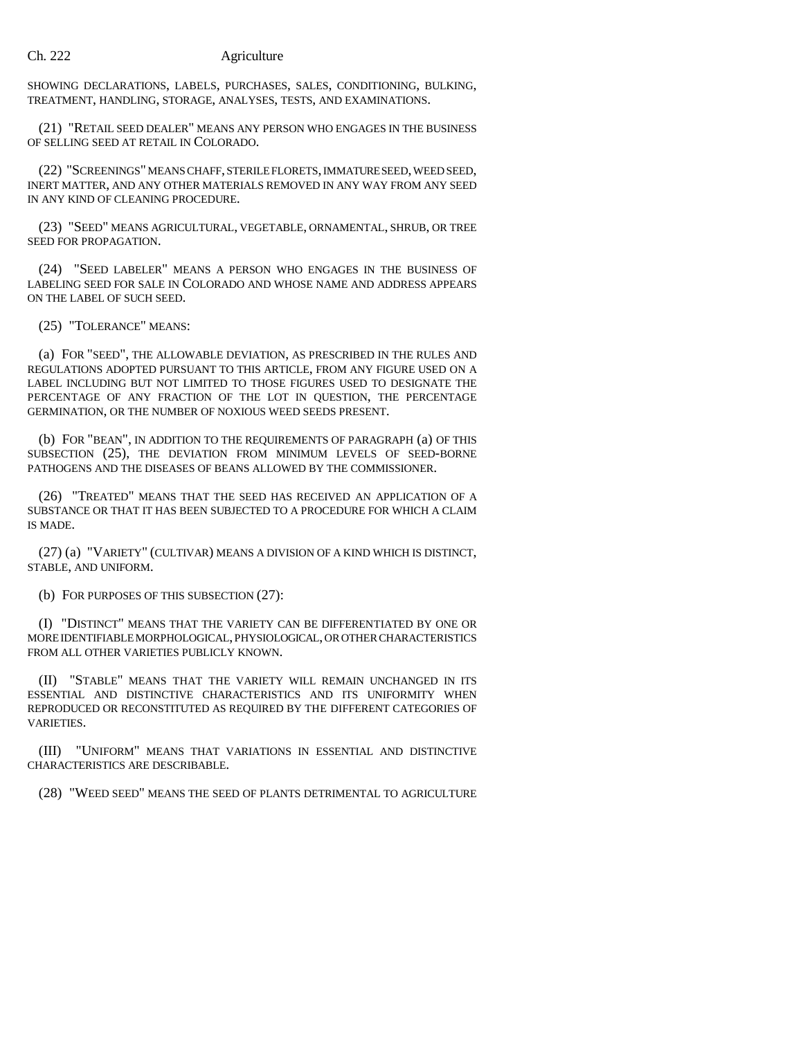SHOWING DECLARATIONS, LABELS, PURCHASES, SALES, CONDITIONING, BULKING, TREATMENT, HANDLING, STORAGE, ANALYSES, TESTS, AND EXAMINATIONS.

(21) "RETAIL SEED DEALER" MEANS ANY PERSON WHO ENGAGES IN THE BUSINESS OF SELLING SEED AT RETAIL IN COLORADO.

(22) "SCREENINGS" MEANS CHAFF, STERILE FLORETS, IMMATURE SEED, WEED SEED, INERT MATTER, AND ANY OTHER MATERIALS REMOVED IN ANY WAY FROM ANY SEED IN ANY KIND OF CLEANING PROCEDURE.

(23) "SEED" MEANS AGRICULTURAL, VEGETABLE, ORNAMENTAL, SHRUB, OR TREE SEED FOR PROPAGATION.

(24) "SEED LABELER" MEANS A PERSON WHO ENGAGES IN THE BUSINESS OF LABELING SEED FOR SALE IN COLORADO AND WHOSE NAME AND ADDRESS APPEARS ON THE LABEL OF SUCH SEED.

(25) "TOLERANCE" MEANS:

(a) FOR "SEED", THE ALLOWABLE DEVIATION, AS PRESCRIBED IN THE RULES AND REGULATIONS ADOPTED PURSUANT TO THIS ARTICLE, FROM ANY FIGURE USED ON A LABEL INCLUDING BUT NOT LIMITED TO THOSE FIGURES USED TO DESIGNATE THE PERCENTAGE OF ANY FRACTION OF THE LOT IN QUESTION, THE PERCENTAGE GERMINATION, OR THE NUMBER OF NOXIOUS WEED SEEDS PRESENT.

(b) FOR "BEAN", IN ADDITION TO THE REQUIREMENTS OF PARAGRAPH (a) OF THIS SUBSECTION (25), THE DEVIATION FROM MINIMUM LEVELS OF SEED-BORNE PATHOGENS AND THE DISEASES OF BEANS ALLOWED BY THE COMMISSIONER.

(26) "TREATED" MEANS THAT THE SEED HAS RECEIVED AN APPLICATION OF A SUBSTANCE OR THAT IT HAS BEEN SUBJECTED TO A PROCEDURE FOR WHICH A CLAIM IS MADE.

(27) (a) "VARIETY" (CULTIVAR) MEANS A DIVISION OF A KIND WHICH IS DISTINCT, STABLE, AND UNIFORM.

(b) FOR PURPOSES OF THIS SUBSECTION (27):

(I) "DISTINCT" MEANS THAT THE VARIETY CAN BE DIFFERENTIATED BY ONE OR MORE IDENTIFIABLE MORPHOLOGICAL, PHYSIOLOGICAL, OR OTHER CHARACTERISTICS FROM ALL OTHER VARIETIES PUBLICLY KNOWN.

(II) "STABLE" MEANS THAT THE VARIETY WILL REMAIN UNCHANGED IN ITS ESSENTIAL AND DISTINCTIVE CHARACTERISTICS AND ITS UNIFORMITY WHEN REPRODUCED OR RECONSTITUTED AS REQUIRED BY THE DIFFERENT CATEGORIES OF VARIETIES.

(III) "UNIFORM" MEANS THAT VARIATIONS IN ESSENTIAL AND DISTINCTIVE CHARACTERISTICS ARE DESCRIBABLE.

(28) "WEED SEED" MEANS THE SEED OF PLANTS DETRIMENTAL TO AGRICULTURE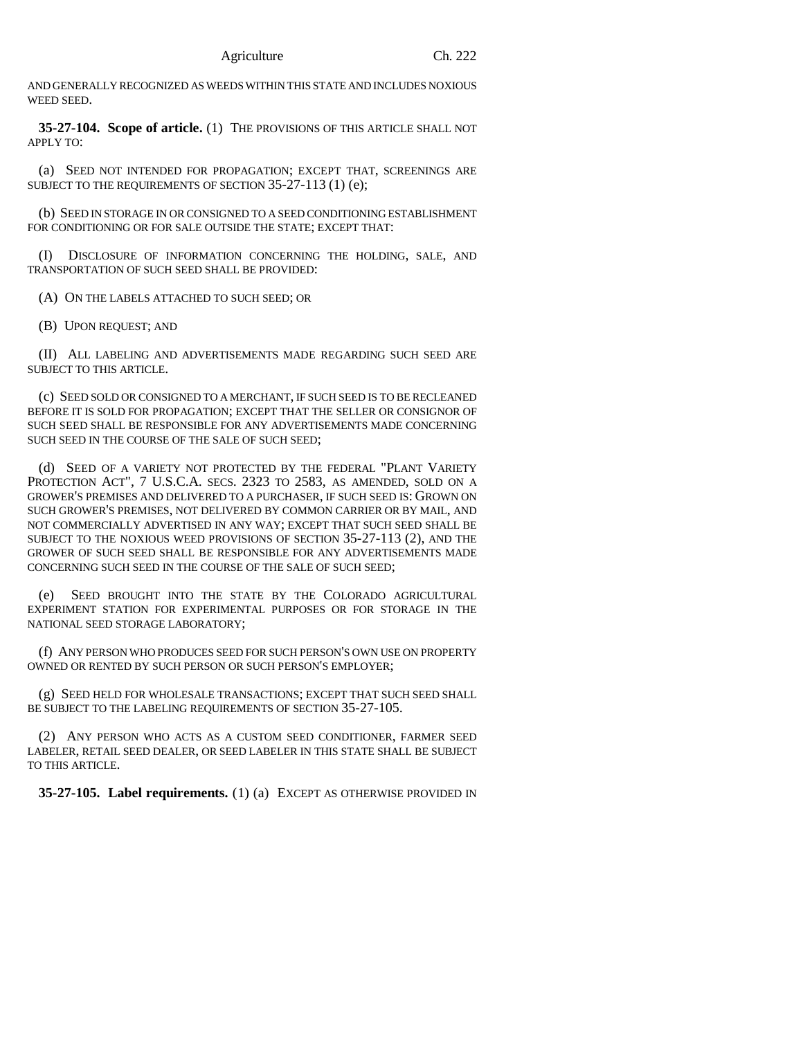AND GENERALLY RECOGNIZED AS WEEDS WITHIN THIS STATE AND INCLUDES NOXIOUS WEED SEED.

**35-27-104. Scope of article.** (1) THE PROVISIONS OF THIS ARTICLE SHALL NOT APPLY TO:

(a) SEED NOT INTENDED FOR PROPAGATION; EXCEPT THAT, SCREENINGS ARE SUBJECT TO THE REQUIREMENTS OF SECTION 35-27-113 (1) (e);

(b) SEED IN STORAGE IN OR CONSIGNED TO A SEED CONDITIONING ESTABLISHMENT FOR CONDITIONING OR FOR SALE OUTSIDE THE STATE; EXCEPT THAT:

(I) DISCLOSURE OF INFORMATION CONCERNING THE HOLDING, SALE, AND TRANSPORTATION OF SUCH SEED SHALL BE PROVIDED:

(A) ON THE LABELS ATTACHED TO SUCH SEED; OR

(B) UPON REQUEST; AND

(II) ALL LABELING AND ADVERTISEMENTS MADE REGARDING SUCH SEED ARE SUBJECT TO THIS ARTICLE.

(c) SEED SOLD OR CONSIGNED TO A MERCHANT, IF SUCH SEED IS TO BE RECLEANED BEFORE IT IS SOLD FOR PROPAGATION; EXCEPT THAT THE SELLER OR CONSIGNOR OF SUCH SEED SHALL BE RESPONSIBLE FOR ANY ADVERTISEMENTS MADE CONCERNING SUCH SEED IN THE COURSE OF THE SALE OF SUCH SEED;

(d) SEED OF A VARIETY NOT PROTECTED BY THE FEDERAL "PLANT VARIETY PROTECTION ACT", 7 U.S.C.A. SECS. 2323 TO 2583, AS AMENDED, SOLD ON A GROWER'S PREMISES AND DELIVERED TO A PURCHASER, IF SUCH SEED IS: GROWN ON SUCH GROWER'S PREMISES, NOT DELIVERED BY COMMON CARRIER OR BY MAIL, AND NOT COMMERCIALLY ADVERTISED IN ANY WAY; EXCEPT THAT SUCH SEED SHALL BE SUBJECT TO THE NOXIOUS WEED PROVISIONS OF SECTION 35-27-113 (2), AND THE GROWER OF SUCH SEED SHALL BE RESPONSIBLE FOR ANY ADVERTISEMENTS MADE CONCERNING SUCH SEED IN THE COURSE OF THE SALE OF SUCH SEED;

(e) SEED BROUGHT INTO THE STATE BY THE COLORADO AGRICULTURAL EXPERIMENT STATION FOR EXPERIMENTAL PURPOSES OR FOR STORAGE IN THE NATIONAL SEED STORAGE LABORATORY;

(f) ANY PERSON WHO PRODUCES SEED FOR SUCH PERSON'S OWN USE ON PROPERTY OWNED OR RENTED BY SUCH PERSON OR SUCH PERSON'S EMPLOYER;

(g) SEED HELD FOR WHOLESALE TRANSACTIONS; EXCEPT THAT SUCH SEED SHALL BE SUBJECT TO THE LABELING REQUIREMENTS OF SECTION 35-27-105.

(2) ANY PERSON WHO ACTS AS A CUSTOM SEED CONDITIONER, FARMER SEED LABELER, RETAIL SEED DEALER, OR SEED LABELER IN THIS STATE SHALL BE SUBJECT TO THIS ARTICLE.

**35-27-105. Label requirements.** (1) (a) EXCEPT AS OTHERWISE PROVIDED IN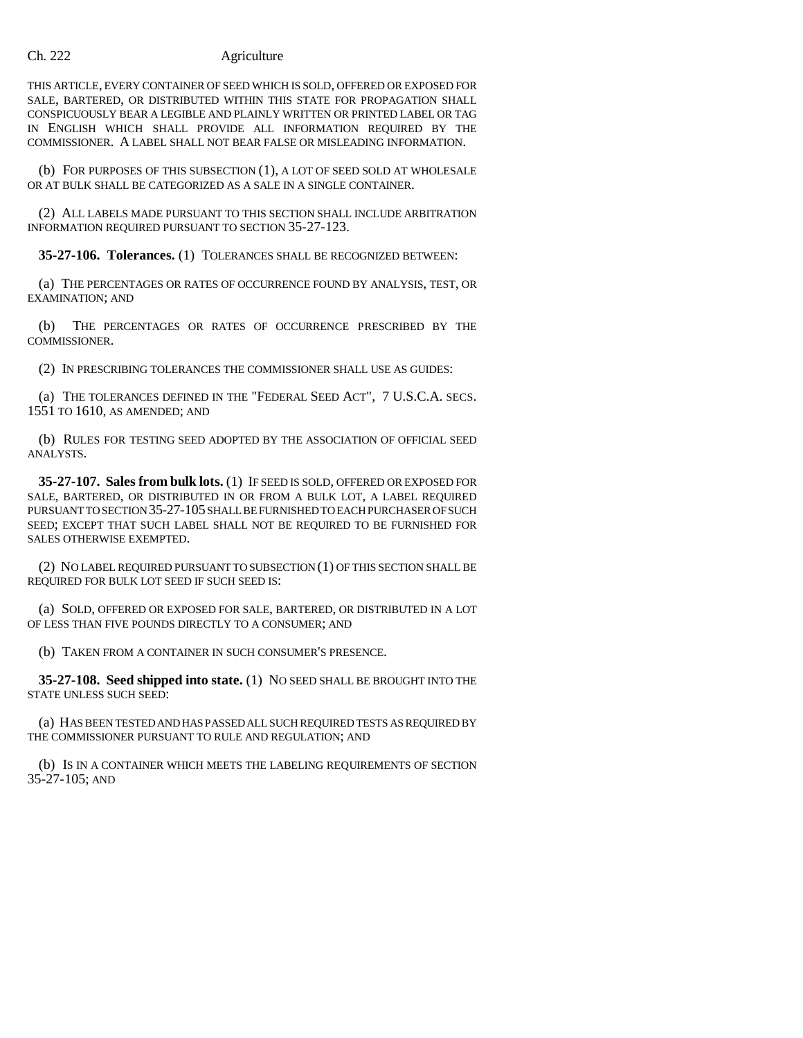THIS ARTICLE, EVERY CONTAINER OF SEED WHICH IS SOLD, OFFERED OR EXPOSED FOR SALE, BARTERED, OR DISTRIBUTED WITHIN THIS STATE FOR PROPAGATION SHALL CONSPICUOUSLY BEAR A LEGIBLE AND PLAINLY WRITTEN OR PRINTED LABEL OR TAG IN ENGLISH WHICH SHALL PROVIDE ALL INFORMATION REQUIRED BY THE COMMISSIONER. A LABEL SHALL NOT BEAR FALSE OR MISLEADING INFORMATION.

(b) FOR PURPOSES OF THIS SUBSECTION (1), A LOT OF SEED SOLD AT WHOLESALE OR AT BULK SHALL BE CATEGORIZED AS A SALE IN A SINGLE CONTAINER.

(2) ALL LABELS MADE PURSUANT TO THIS SECTION SHALL INCLUDE ARBITRATION INFORMATION REQUIRED PURSUANT TO SECTION 35-27-123.

**35-27-106. Tolerances.** (1) TOLERANCES SHALL BE RECOGNIZED BETWEEN:

(a) THE PERCENTAGES OR RATES OF OCCURRENCE FOUND BY ANALYSIS, TEST, OR EXAMINATION; AND

(b) THE PERCENTAGES OR RATES OF OCCURRENCE PRESCRIBED BY THE COMMISSIONER.

(2) IN PRESCRIBING TOLERANCES THE COMMISSIONER SHALL USE AS GUIDES:

(a) THE TOLERANCES DEFINED IN THE "FEDERAL SEED ACT", 7 U.S.C.A. SECS. 1551 TO 1610, AS AMENDED; AND

(b) RULES FOR TESTING SEED ADOPTED BY THE ASSOCIATION OF OFFICIAL SEED ANALYSTS.

**35-27-107. Sales from bulk lots.** (1) IF SEED IS SOLD, OFFERED OR EXPOSED FOR SALE, BARTERED, OR DISTRIBUTED IN OR FROM A BULK LOT, A LABEL REQUIRED PURSUANT TO SECTION 35-27-105 SHALL BE FURNISHED TO EACH PURCHASER OF SUCH SEED; EXCEPT THAT SUCH LABEL SHALL NOT BE REQUIRED TO BE FURNISHED FOR SALES OTHERWISE EXEMPTED.

(2) NO LABEL REQUIRED PURSUANT TO SUBSECTION (1) OF THIS SECTION SHALL BE REQUIRED FOR BULK LOT SEED IF SUCH SEED IS:

(a) SOLD, OFFERED OR EXPOSED FOR SALE, BARTERED, OR DISTRIBUTED IN A LOT OF LESS THAN FIVE POUNDS DIRECTLY TO A CONSUMER; AND

(b) TAKEN FROM A CONTAINER IN SUCH CONSUMER'S PRESENCE.

**35-27-108. Seed shipped into state.** (1) NO SEED SHALL BE BROUGHT INTO THE STATE UNLESS SUCH SEED:

(a) HAS BEEN TESTED AND HAS PASSED ALL SUCH REQUIRED TESTS AS REQUIRED BY THE COMMISSIONER PURSUANT TO RULE AND REGULATION; AND

(b) IS IN A CONTAINER WHICH MEETS THE LABELING REQUIREMENTS OF SECTION 35-27-105; AND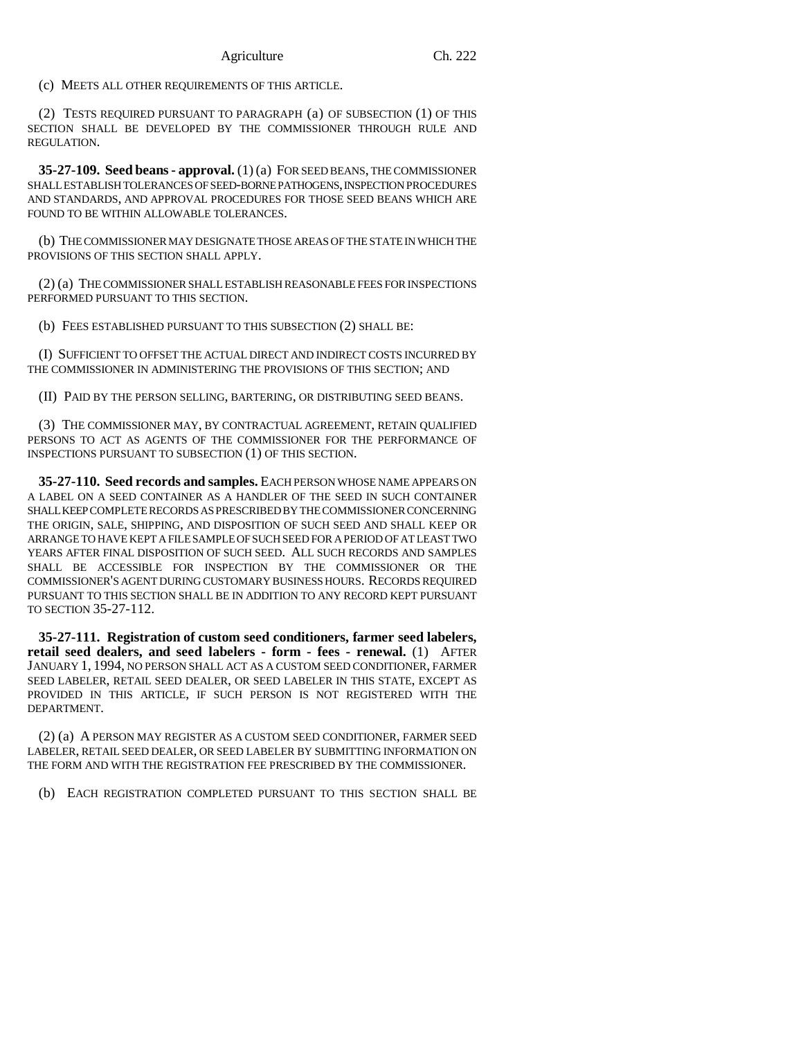(c) MEETS ALL OTHER REQUIREMENTS OF THIS ARTICLE.

(2) TESTS REQUIRED PURSUANT TO PARAGRAPH (a) OF SUBSECTION (1) OF THIS SECTION SHALL BE DEVELOPED BY THE COMMISSIONER THROUGH RULE AND REGULATION.

**35-27-109. Seed beans - approval.** (1) (a) FOR SEED BEANS, THE COMMISSIONER SHALL ESTABLISH TOLERANCES OF SEED-BORNE PATHOGENS, INSPECTION PROCEDURES AND STANDARDS, AND APPROVAL PROCEDURES FOR THOSE SEED BEANS WHICH ARE FOUND TO BE WITHIN ALLOWABLE TOLERANCES.

(b) THE COMMISSIONER MAY DESIGNATE THOSE AREAS OF THE STATE IN WHICH THE PROVISIONS OF THIS SECTION SHALL APPLY.

(2) (a) THE COMMISSIONER SHALL ESTABLISH REASONABLE FEES FOR INSPECTIONS PERFORMED PURSUANT TO THIS SECTION.

(b) FEES ESTABLISHED PURSUANT TO THIS SUBSECTION (2) SHALL BE:

(I) SUFFICIENT TO OFFSET THE ACTUAL DIRECT AND INDIRECT COSTS INCURRED BY THE COMMISSIONER IN ADMINISTERING THE PROVISIONS OF THIS SECTION; AND

(II) PAID BY THE PERSON SELLING, BARTERING, OR DISTRIBUTING SEED BEANS.

(3) THE COMMISSIONER MAY, BY CONTRACTUAL AGREEMENT, RETAIN QUALIFIED PERSONS TO ACT AS AGENTS OF THE COMMISSIONER FOR THE PERFORMANCE OF INSPECTIONS PURSUANT TO SUBSECTION (1) OF THIS SECTION.

**35-27-110. Seed records and samples.** EACH PERSON WHOSE NAME APPEARS ON A LABEL ON A SEED CONTAINER AS A HANDLER OF THE SEED IN SUCH CONTAINER SHALL KEEP COMPLETE RECORDS AS PRESCRIBED BY THE COMMISSIONER CONCERNING THE ORIGIN, SALE, SHIPPING, AND DISPOSITION OF SUCH SEED AND SHALL KEEP OR ARRANGE TO HAVE KEPT A FILE SAMPLE OF SUCH SEED FOR A PERIOD OF AT LEAST TWO YEARS AFTER FINAL DISPOSITION OF SUCH SEED. ALL SUCH RECORDS AND SAMPLES SHALL BE ACCESSIBLE FOR INSPECTION BY THE COMMISSIONER OR THE COMMISSIONER'S AGENT DURING CUSTOMARY BUSINESS HOURS. RECORDS REQUIRED PURSUANT TO THIS SECTION SHALL BE IN ADDITION TO ANY RECORD KEPT PURSUANT TO SECTION 35-27-112.

**35-27-111. Registration of custom seed conditioners, farmer seed labelers, retail seed dealers, and seed labelers - form - fees - renewal.** (1) AFTER JANUARY 1, 1994, NO PERSON SHALL ACT AS A CUSTOM SEED CONDITIONER, FARMER SEED LABELER, RETAIL SEED DEALER, OR SEED LABELER IN THIS STATE, EXCEPT AS PROVIDED IN THIS ARTICLE, IF SUCH PERSON IS NOT REGISTERED WITH THE DEPARTMENT.

(2) (a) A PERSON MAY REGISTER AS A CUSTOM SEED CONDITIONER, FARMER SEED LABELER, RETAIL SEED DEALER, OR SEED LABELER BY SUBMITTING INFORMATION ON THE FORM AND WITH THE REGISTRATION FEE PRESCRIBED BY THE COMMISSIONER.

(b) EACH REGISTRATION COMPLETED PURSUANT TO THIS SECTION SHALL BE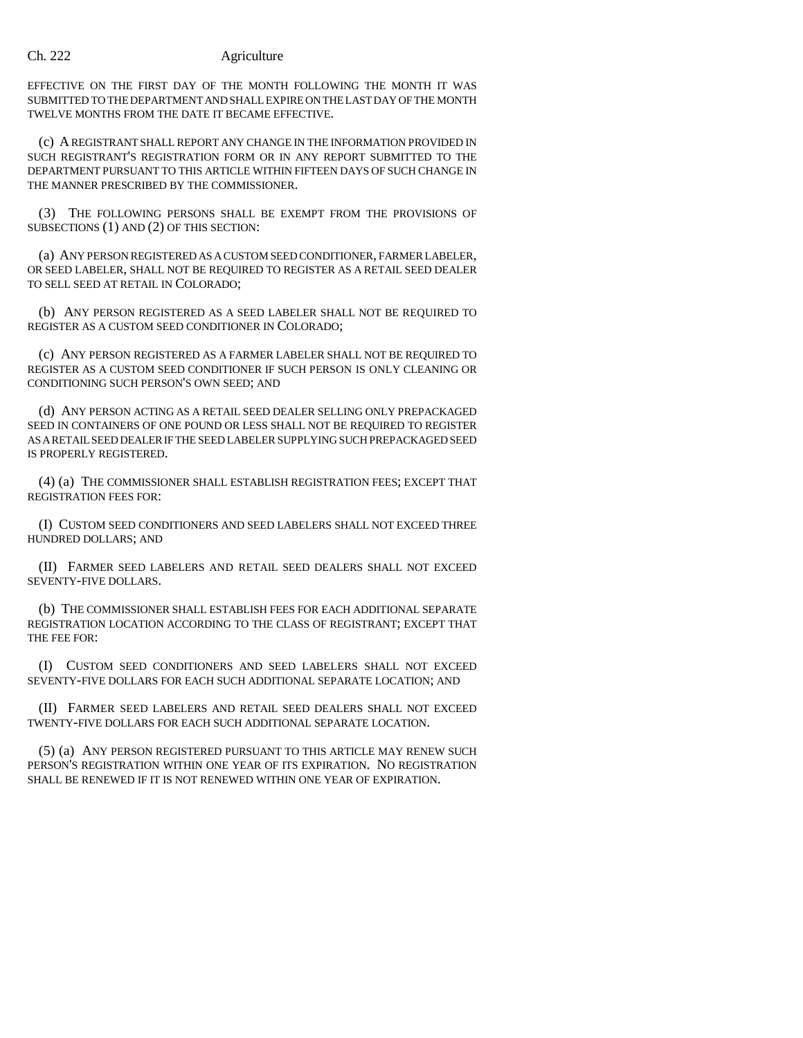EFFECTIVE ON THE FIRST DAY OF THE MONTH FOLLOWING THE MONTH IT WAS SUBMITTED TO THE DEPARTMENT AND SHALL EXPIRE ON THE LAST DAY OF THE MONTH TWELVE MONTHS FROM THE DATE IT BECAME EFFECTIVE.

(c) A REGISTRANT SHALL REPORT ANY CHANGE IN THE INFORMATION PROVIDED IN SUCH REGISTRANT'S REGISTRATION FORM OR IN ANY REPORT SUBMITTED TO THE DEPARTMENT PURSUANT TO THIS ARTICLE WITHIN FIFTEEN DAYS OF SUCH CHANGE IN THE MANNER PRESCRIBED BY THE COMMISSIONER.

(3) THE FOLLOWING PERSONS SHALL BE EXEMPT FROM THE PROVISIONS OF SUBSECTIONS (1) AND (2) OF THIS SECTION:

(a) ANY PERSON REGISTERED AS A CUSTOM SEED CONDITIONER, FARMER LABELER, OR SEED LABELER, SHALL NOT BE REQUIRED TO REGISTER AS A RETAIL SEED DEALER TO SELL SEED AT RETAIL IN COLORADO;

(b) ANY PERSON REGISTERED AS A SEED LABELER SHALL NOT BE REQUIRED TO REGISTER AS A CUSTOM SEED CONDITIONER IN COLORADO;

(c) ANY PERSON REGISTERED AS A FARMER LABELER SHALL NOT BE REQUIRED TO REGISTER AS A CUSTOM SEED CONDITIONER IF SUCH PERSON IS ONLY CLEANING OR CONDITIONING SUCH PERSON'S OWN SEED; AND

(d) ANY PERSON ACTING AS A RETAIL SEED DEALER SELLING ONLY PREPACKAGED SEED IN CONTAINERS OF ONE POUND OR LESS SHALL NOT BE REQUIRED TO REGISTER AS A RETAIL SEED DEALER IF THE SEED LABELER SUPPLYING SUCH PREPACKAGED SEED IS PROPERLY REGISTERED.

(4) (a) THE COMMISSIONER SHALL ESTABLISH REGISTRATION FEES; EXCEPT THAT REGISTRATION FEES FOR:

(I) CUSTOM SEED CONDITIONERS AND SEED LABELERS SHALL NOT EXCEED THREE HUNDRED DOLLARS; AND

(II) FARMER SEED LABELERS AND RETAIL SEED DEALERS SHALL NOT EXCEED SEVENTY-FIVE DOLLARS.

(b) THE COMMISSIONER SHALL ESTABLISH FEES FOR EACH ADDITIONAL SEPARATE REGISTRATION LOCATION ACCORDING TO THE CLASS OF REGISTRANT; EXCEPT THAT THE FEE FOR:

(I) CUSTOM SEED CONDITIONERS AND SEED LABELERS SHALL NOT EXCEED SEVENTY-FIVE DOLLARS FOR EACH SUCH ADDITIONAL SEPARATE LOCATION; AND

(II) FARMER SEED LABELERS AND RETAIL SEED DEALERS SHALL NOT EXCEED TWENTY-FIVE DOLLARS FOR EACH SUCH ADDITIONAL SEPARATE LOCATION.

(5) (a) ANY PERSON REGISTERED PURSUANT TO THIS ARTICLE MAY RENEW SUCH PERSON'S REGISTRATION WITHIN ONE YEAR OF ITS EXPIRATION. NO REGISTRATION SHALL BE RENEWED IF IT IS NOT RENEWED WITHIN ONE YEAR OF EXPIRATION.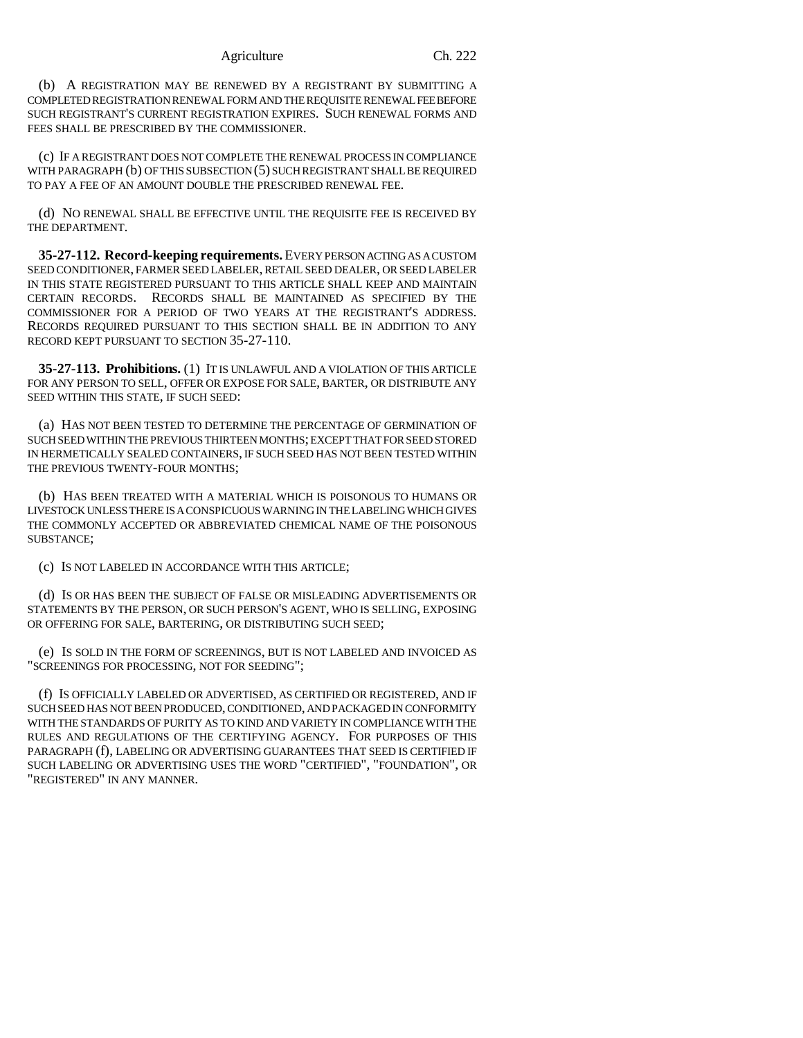#### Agriculture Ch. 222

(b) A REGISTRATION MAY BE RENEWED BY A REGISTRANT BY SUBMITTING A COMPLETED REGISTRATION RENEWAL FORM AND THE REQUISITE RENEWAL FEE BEFORE SUCH REGISTRANT'S CURRENT REGISTRATION EXPIRES. SUCH RENEWAL FORMS AND FEES SHALL BE PRESCRIBED BY THE COMMISSIONER.

(c) IF A REGISTRANT DOES NOT COMPLETE THE RENEWAL PROCESS IN COMPLIANCE WITH PARAGRAPH (b) OF THIS SUBSECTION (5) SUCH REGISTRANT SHALL BE REQUIRED TO PAY A FEE OF AN AMOUNT DOUBLE THE PRESCRIBED RENEWAL FEE.

(d) NO RENEWAL SHALL BE EFFECTIVE UNTIL THE REQUISITE FEE IS RECEIVED BY THE DEPARTMENT.

**35-27-112. Record-keeping requirements.** EVERY PERSON ACTING AS A CUSTOM SEED CONDITIONER, FARMER SEED LABELER, RETAIL SEED DEALER, OR SEED LABELER IN THIS STATE REGISTERED PURSUANT TO THIS ARTICLE SHALL KEEP AND MAINTAIN CERTAIN RECORDS. RECORDS SHALL BE MAINTAINED AS SPECIFIED BY THE COMMISSIONER FOR A PERIOD OF TWO YEARS AT THE REGISTRANT'S ADDRESS. RECORDS REQUIRED PURSUANT TO THIS SECTION SHALL BE IN ADDITION TO ANY RECORD KEPT PURSUANT TO SECTION 35-27-110.

**35-27-113. Prohibitions.** (1) IT IS UNLAWFUL AND A VIOLATION OF THIS ARTICLE FOR ANY PERSON TO SELL, OFFER OR EXPOSE FOR SALE, BARTER, OR DISTRIBUTE ANY SEED WITHIN THIS STATE, IF SUCH SEED:

(a) HAS NOT BEEN TESTED TO DETERMINE THE PERCENTAGE OF GERMINATION OF SUCH SEED WITHIN THE PREVIOUS THIRTEEN MONTHS; EXCEPT THAT FOR SEED STORED IN HERMETICALLY SEALED CONTAINERS, IF SUCH SEED HAS NOT BEEN TESTED WITHIN THE PREVIOUS TWENTY-FOUR MONTHS;

(b) HAS BEEN TREATED WITH A MATERIAL WHICH IS POISONOUS TO HUMANS OR LIVESTOCK UNLESS THERE IS A CONSPICUOUS WARNING IN THE LABELING WHICH GIVES THE COMMONLY ACCEPTED OR ABBREVIATED CHEMICAL NAME OF THE POISONOUS SUBSTANCE;

(c) IS NOT LABELED IN ACCORDANCE WITH THIS ARTICLE;

(d) IS OR HAS BEEN THE SUBJECT OF FALSE OR MISLEADING ADVERTISEMENTS OR STATEMENTS BY THE PERSON, OR SUCH PERSON'S AGENT, WHO IS SELLING, EXPOSING OR OFFERING FOR SALE, BARTERING, OR DISTRIBUTING SUCH SEED;

(e) IS SOLD IN THE FORM OF SCREENINGS, BUT IS NOT LABELED AND INVOICED AS "SCREENINGS FOR PROCESSING, NOT FOR SEEDING";

(f) IS OFFICIALLY LABELED OR ADVERTISED, AS CERTIFIED OR REGISTERED, AND IF SUCH SEED HAS NOT BEEN PRODUCED, CONDITIONED, AND PACKAGED IN CONFORMITY WITH THE STANDARDS OF PURITY AS TO KIND AND VARIETY IN COMPLIANCE WITH THE RULES AND REGULATIONS OF THE CERTIFYING AGENCY. FOR PURPOSES OF THIS PARAGRAPH (f), LABELING OR ADVERTISING GUARANTEES THAT SEED IS CERTIFIED IF SUCH LABELING OR ADVERTISING USES THE WORD "CERTIFIED", "FOUNDATION", OR "REGISTERED" IN ANY MANNER.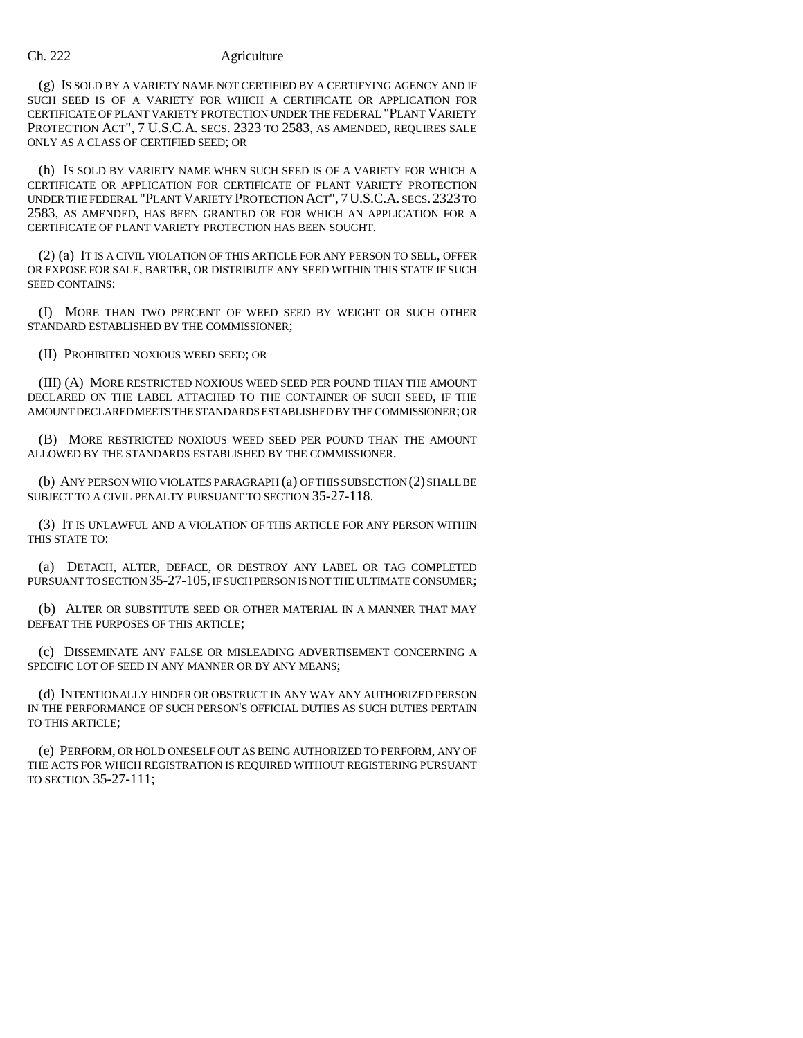(g) IS SOLD BY A VARIETY NAME NOT CERTIFIED BY A CERTIFYING AGENCY AND IF SUCH SEED IS OF A VARIETY FOR WHICH A CERTIFICATE OR APPLICATION FOR CERTIFICATE OF PLANT VARIETY PROTECTION UNDER THE FEDERAL "PLANT VARIETY PROTECTION ACT", 7 U.S.C.A. SECS. 2323 TO 2583, AS AMENDED, REQUIRES SALE ONLY AS A CLASS OF CERTIFIED SEED; OR

(h) IS SOLD BY VARIETY NAME WHEN SUCH SEED IS OF A VARIETY FOR WHICH A CERTIFICATE OR APPLICATION FOR CERTIFICATE OF PLANT VARIETY PROTECTION UNDER THE FEDERAL "PLANT VARIETY PROTECTION ACT", 7U.S.C.A. SECS. 2323 TO 2583, AS AMENDED, HAS BEEN GRANTED OR FOR WHICH AN APPLICATION FOR A CERTIFICATE OF PLANT VARIETY PROTECTION HAS BEEN SOUGHT.

(2) (a) IT IS A CIVIL VIOLATION OF THIS ARTICLE FOR ANY PERSON TO SELL, OFFER OR EXPOSE FOR SALE, BARTER, OR DISTRIBUTE ANY SEED WITHIN THIS STATE IF SUCH SEED CONTAINS:

(I) MORE THAN TWO PERCENT OF WEED SEED BY WEIGHT OR SUCH OTHER STANDARD ESTABLISHED BY THE COMMISSIONER;

(II) PROHIBITED NOXIOUS WEED SEED; OR

(III) (A) MORE RESTRICTED NOXIOUS WEED SEED PER POUND THAN THE AMOUNT DECLARED ON THE LABEL ATTACHED TO THE CONTAINER OF SUCH SEED, IF THE AMOUNT DECLARED MEETS THE STANDARDS ESTABLISHED BY THE COMMISSIONER; OR

(B) MORE RESTRICTED NOXIOUS WEED SEED PER POUND THAN THE AMOUNT ALLOWED BY THE STANDARDS ESTABLISHED BY THE COMMISSIONER.

(b) ANY PERSON WHO VIOLATES PARAGRAPH (a) OF THIS SUBSECTION (2) SHALL BE SUBJECT TO A CIVIL PENALTY PURSUANT TO SECTION 35-27-118.

(3) IT IS UNLAWFUL AND A VIOLATION OF THIS ARTICLE FOR ANY PERSON WITHIN THIS STATE TO:

(a) DETACH, ALTER, DEFACE, OR DESTROY ANY LABEL OR TAG COMPLETED PURSUANT TO SECTION 35-27-105, IF SUCH PERSON IS NOT THE ULTIMATE CONSUMER;

(b) ALTER OR SUBSTITUTE SEED OR OTHER MATERIAL IN A MANNER THAT MAY DEFEAT THE PURPOSES OF THIS ARTICLE;

(c) DISSEMINATE ANY FALSE OR MISLEADING ADVERTISEMENT CONCERNING A SPECIFIC LOT OF SEED IN ANY MANNER OR BY ANY MEANS;

(d) INTENTIONALLY HINDER OR OBSTRUCT IN ANY WAY ANY AUTHORIZED PERSON IN THE PERFORMANCE OF SUCH PERSON'S OFFICIAL DUTIES AS SUCH DUTIES PERTAIN TO THIS ARTICLE;

(e) PERFORM, OR HOLD ONESELF OUT AS BEING AUTHORIZED TO PERFORM, ANY OF THE ACTS FOR WHICH REGISTRATION IS REQUIRED WITHOUT REGISTERING PURSUANT TO SECTION 35-27-111;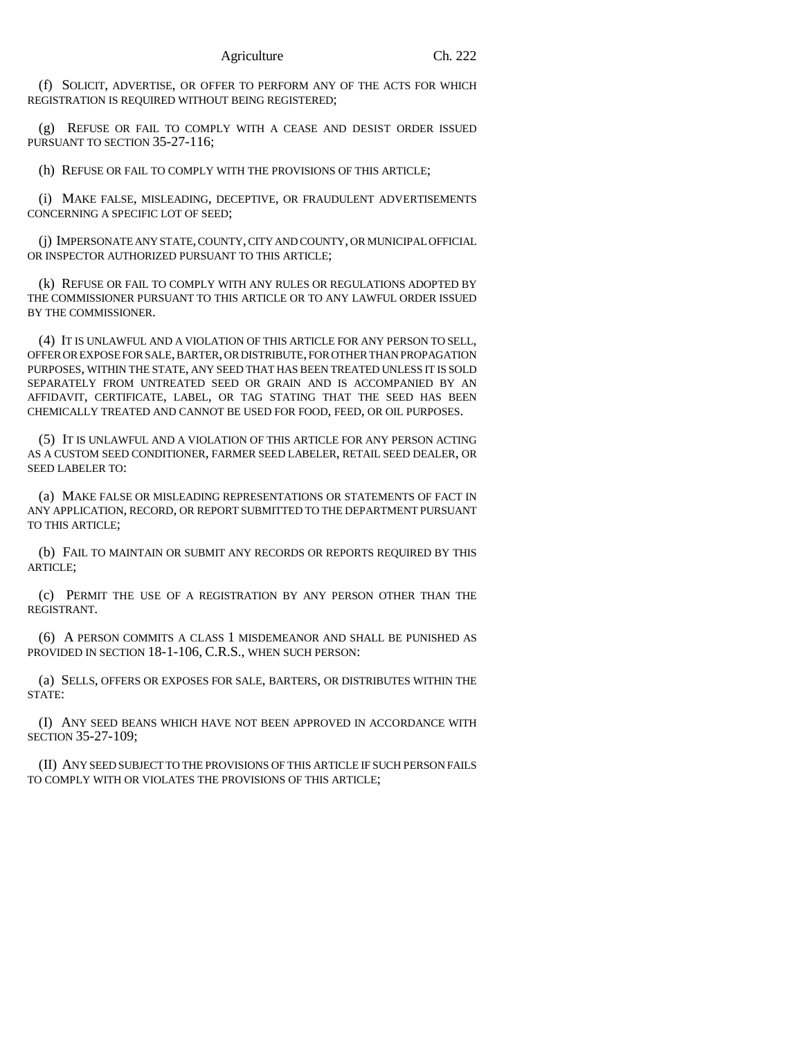(f) SOLICIT, ADVERTISE, OR OFFER TO PERFORM ANY OF THE ACTS FOR WHICH REGISTRATION IS REQUIRED WITHOUT BEING REGISTERED;

(g) REFUSE OR FAIL TO COMPLY WITH A CEASE AND DESIST ORDER ISSUED PURSUANT TO SECTION 35-27-116;

(h) REFUSE OR FAIL TO COMPLY WITH THE PROVISIONS OF THIS ARTICLE;

(i) MAKE FALSE, MISLEADING, DECEPTIVE, OR FRAUDULENT ADVERTISEMENTS CONCERNING A SPECIFIC LOT OF SEED;

(j) IMPERSONATE ANY STATE, COUNTY, CITY AND COUNTY, OR MUNICIPAL OFFICIAL OR INSPECTOR AUTHORIZED PURSUANT TO THIS ARTICLE;

(k) REFUSE OR FAIL TO COMPLY WITH ANY RULES OR REGULATIONS ADOPTED BY THE COMMISSIONER PURSUANT TO THIS ARTICLE OR TO ANY LAWFUL ORDER ISSUED BY THE COMMISSIONER.

(4) IT IS UNLAWFUL AND A VIOLATION OF THIS ARTICLE FOR ANY PERSON TO SELL, OFFER OR EXPOSE FOR SALE, BARTER, OR DISTRIBUTE, FOR OTHER THAN PROPAGATION PURPOSES, WITHIN THE STATE, ANY SEED THAT HAS BEEN TREATED UNLESS IT IS SOLD SEPARATELY FROM UNTREATED SEED OR GRAIN AND IS ACCOMPANIED BY AN AFFIDAVIT, CERTIFICATE, LABEL, OR TAG STATING THAT THE SEED HAS BEEN CHEMICALLY TREATED AND CANNOT BE USED FOR FOOD, FEED, OR OIL PURPOSES.

(5) IT IS UNLAWFUL AND A VIOLATION OF THIS ARTICLE FOR ANY PERSON ACTING AS A CUSTOM SEED CONDITIONER, FARMER SEED LABELER, RETAIL SEED DEALER, OR SEED LABELER TO:

(a) MAKE FALSE OR MISLEADING REPRESENTATIONS OR STATEMENTS OF FACT IN ANY APPLICATION, RECORD, OR REPORT SUBMITTED TO THE DEPARTMENT PURSUANT TO THIS ARTICLE;

(b) FAIL TO MAINTAIN OR SUBMIT ANY RECORDS OR REPORTS REQUIRED BY THIS ARTICLE;

(c) PERMIT THE USE OF A REGISTRATION BY ANY PERSON OTHER THAN THE REGISTRANT.

(6) A PERSON COMMITS A CLASS 1 MISDEMEANOR AND SHALL BE PUNISHED AS PROVIDED IN SECTION 18-1-106, C.R.S., WHEN SUCH PERSON:

(a) SELLS, OFFERS OR EXPOSES FOR SALE, BARTERS, OR DISTRIBUTES WITHIN THE STATE:

(I) ANY SEED BEANS WHICH HAVE NOT BEEN APPROVED IN ACCORDANCE WITH SECTION 35-27-109;

(II) ANY SEED SUBJECT TO THE PROVISIONS OF THIS ARTICLE IF SUCH PERSON FAILS TO COMPLY WITH OR VIOLATES THE PROVISIONS OF THIS ARTICLE;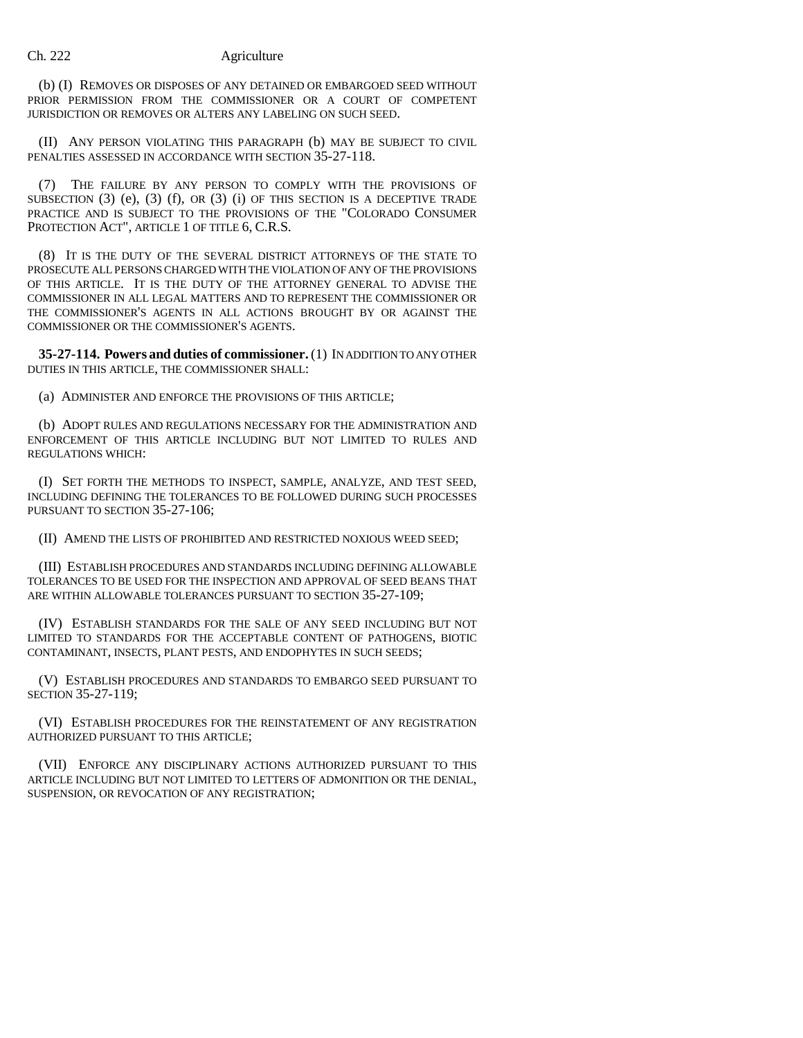(b) (I) REMOVES OR DISPOSES OF ANY DETAINED OR EMBARGOED SEED WITHOUT PRIOR PERMISSION FROM THE COMMISSIONER OR A COURT OF COMPETENT JURISDICTION OR REMOVES OR ALTERS ANY LABELING ON SUCH SEED.

(II) ANY PERSON VIOLATING THIS PARAGRAPH (b) MAY BE SUBJECT TO CIVIL PENALTIES ASSESSED IN ACCORDANCE WITH SECTION 35-27-118.

(7) THE FAILURE BY ANY PERSON TO COMPLY WITH THE PROVISIONS OF SUBSECTION  $(3)$   $(e)$ ,  $(3)$   $(f)$ , OR  $(3)$   $(i)$  OF THIS SECTION IS A DECEPTIVE TRADE PRACTICE AND IS SUBJECT TO THE PROVISIONS OF THE "COLORADO CONSUMER PROTECTION ACT", ARTICLE 1 OF TITLE 6, C.R.S.

(8) IT IS THE DUTY OF THE SEVERAL DISTRICT ATTORNEYS OF THE STATE TO PROSECUTE ALL PERSONS CHARGED WITH THE VIOLATION OF ANY OF THE PROVISIONS OF THIS ARTICLE. IT IS THE DUTY OF THE ATTORNEY GENERAL TO ADVISE THE COMMISSIONER IN ALL LEGAL MATTERS AND TO REPRESENT THE COMMISSIONER OR THE COMMISSIONER'S AGENTS IN ALL ACTIONS BROUGHT BY OR AGAINST THE COMMISSIONER OR THE COMMISSIONER'S AGENTS.

**35-27-114. Powers and duties of commissioner.** (1) IN ADDITION TO ANY OTHER DUTIES IN THIS ARTICLE, THE COMMISSIONER SHALL:

(a) ADMINISTER AND ENFORCE THE PROVISIONS OF THIS ARTICLE;

(b) ADOPT RULES AND REGULATIONS NECESSARY FOR THE ADMINISTRATION AND ENFORCEMENT OF THIS ARTICLE INCLUDING BUT NOT LIMITED TO RULES AND REGULATIONS WHICH:

(I) SET FORTH THE METHODS TO INSPECT, SAMPLE, ANALYZE, AND TEST SEED, INCLUDING DEFINING THE TOLERANCES TO BE FOLLOWED DURING SUCH PROCESSES PURSUANT TO SECTION 35-27-106;

(II) AMEND THE LISTS OF PROHIBITED AND RESTRICTED NOXIOUS WEED SEED;

(III) ESTABLISH PROCEDURES AND STANDARDS INCLUDING DEFINING ALLOWABLE TOLERANCES TO BE USED FOR THE INSPECTION AND APPROVAL OF SEED BEANS THAT ARE WITHIN ALLOWABLE TOLERANCES PURSUANT TO SECTION 35-27-109;

(IV) ESTABLISH STANDARDS FOR THE SALE OF ANY SEED INCLUDING BUT NOT LIMITED TO STANDARDS FOR THE ACCEPTABLE CONTENT OF PATHOGENS, BIOTIC CONTAMINANT, INSECTS, PLANT PESTS, AND ENDOPHYTES IN SUCH SEEDS;

(V) ESTABLISH PROCEDURES AND STANDARDS TO EMBARGO SEED PURSUANT TO SECTION 35-27-119;

(VI) ESTABLISH PROCEDURES FOR THE REINSTATEMENT OF ANY REGISTRATION AUTHORIZED PURSUANT TO THIS ARTICLE;

(VII) ENFORCE ANY DISCIPLINARY ACTIONS AUTHORIZED PURSUANT TO THIS ARTICLE INCLUDING BUT NOT LIMITED TO LETTERS OF ADMONITION OR THE DENIAL, SUSPENSION, OR REVOCATION OF ANY REGISTRATION;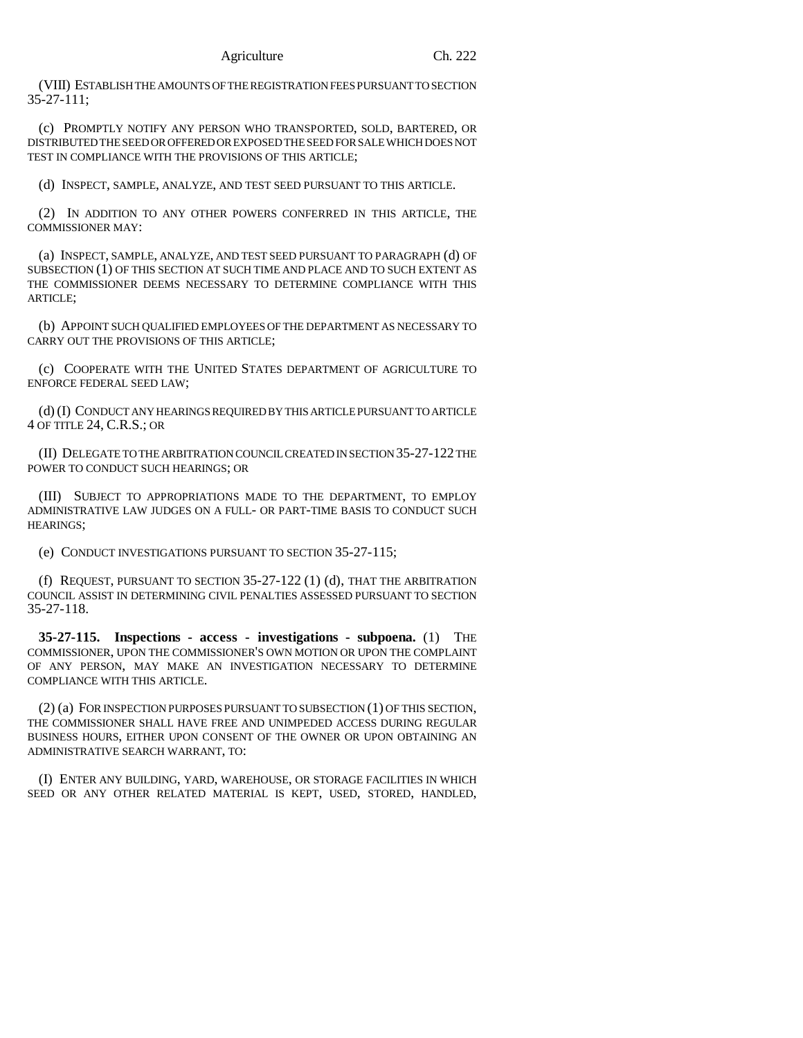(VIII) ESTABLISH THE AMOUNTS OF THE REGISTRATION FEES PURSUANT TO SECTION 35-27-111;

(c) PROMPTLY NOTIFY ANY PERSON WHO TRANSPORTED, SOLD, BARTERED, OR DISTRIBUTED THE SEED OR OFFERED OR EXPOSED THE SEED FOR SALE WHICH DOES NOT TEST IN COMPLIANCE WITH THE PROVISIONS OF THIS ARTICLE;

(d) INSPECT, SAMPLE, ANALYZE, AND TEST SEED PURSUANT TO THIS ARTICLE.

(2) IN ADDITION TO ANY OTHER POWERS CONFERRED IN THIS ARTICLE, THE COMMISSIONER MAY:

(a) INSPECT, SAMPLE, ANALYZE, AND TEST SEED PURSUANT TO PARAGRAPH (d) OF SUBSECTION (1) OF THIS SECTION AT SUCH TIME AND PLACE AND TO SUCH EXTENT AS THE COMMISSIONER DEEMS NECESSARY TO DETERMINE COMPLIANCE WITH THIS ARTICLE;

(b) APPOINT SUCH QUALIFIED EMPLOYEES OF THE DEPARTMENT AS NECESSARY TO CARRY OUT THE PROVISIONS OF THIS ARTICLE;

(c) COOPERATE WITH THE UNITED STATES DEPARTMENT OF AGRICULTURE TO ENFORCE FEDERAL SEED LAW;

(d) (I) CONDUCT ANY HEARINGS REQUIRED BY THIS ARTICLE PURSUANT TO ARTICLE 4 OF TITLE 24, C.R.S.; OR

(II) DELEGATE TO THE ARBITRATION COUNCIL CREATED IN SECTION 35-27-122 THE POWER TO CONDUCT SUCH HEARINGS; OR

(III) SUBJECT TO APPROPRIATIONS MADE TO THE DEPARTMENT, TO EMPLOY ADMINISTRATIVE LAW JUDGES ON A FULL- OR PART-TIME BASIS TO CONDUCT SUCH HEARINGS;

(e) CONDUCT INVESTIGATIONS PURSUANT TO SECTION 35-27-115;

(f) REQUEST, PURSUANT TO SECTION 35-27-122 (1) (d), THAT THE ARBITRATION COUNCIL ASSIST IN DETERMINING CIVIL PENALTIES ASSESSED PURSUANT TO SECTION 35-27-118.

**35-27-115. Inspections - access - investigations - subpoena.** (1) THE COMMISSIONER, UPON THE COMMISSIONER'S OWN MOTION OR UPON THE COMPLAINT OF ANY PERSON, MAY MAKE AN INVESTIGATION NECESSARY TO DETERMINE COMPLIANCE WITH THIS ARTICLE.

(2) (a) FOR INSPECTION PURPOSES PURSUANT TO SUBSECTION (1) OF THIS SECTION, THE COMMISSIONER SHALL HAVE FREE AND UNIMPEDED ACCESS DURING REGULAR BUSINESS HOURS, EITHER UPON CONSENT OF THE OWNER OR UPON OBTAINING AN ADMINISTRATIVE SEARCH WARRANT, TO:

(I) ENTER ANY BUILDING, YARD, WAREHOUSE, OR STORAGE FACILITIES IN WHICH SEED OR ANY OTHER RELATED MATERIAL IS KEPT, USED, STORED, HANDLED,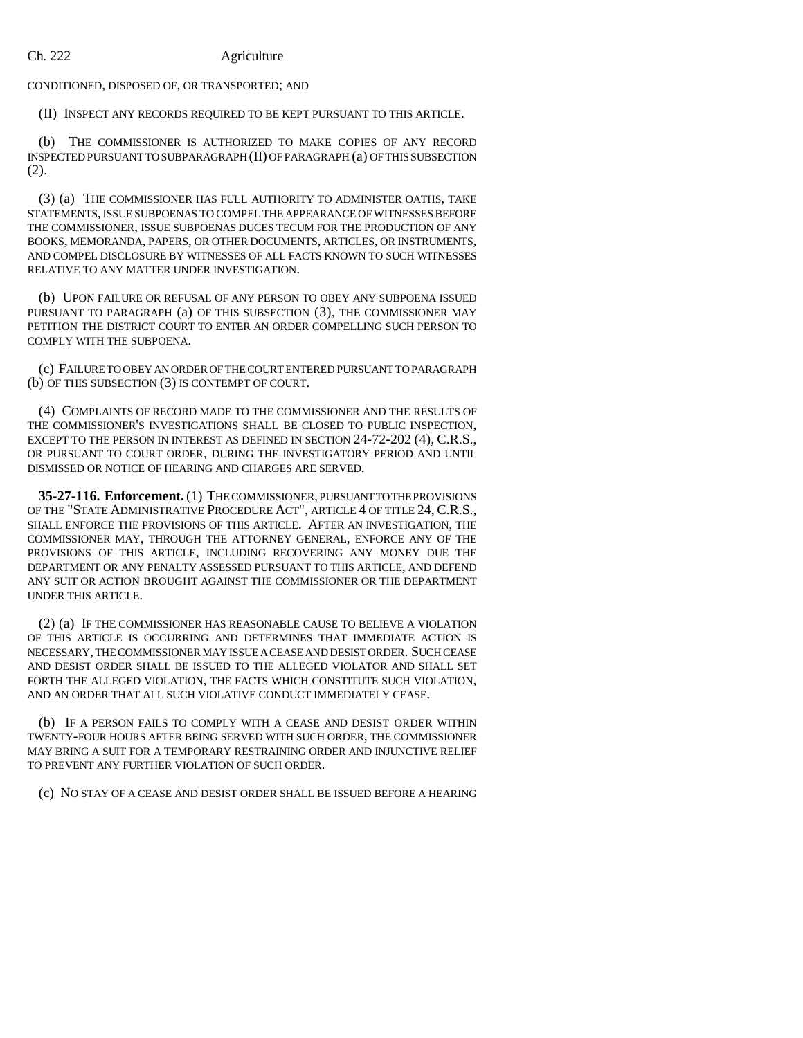CONDITIONED, DISPOSED OF, OR TRANSPORTED; AND

(II) INSPECT ANY RECORDS REQUIRED TO BE KEPT PURSUANT TO THIS ARTICLE.

(b) THE COMMISSIONER IS AUTHORIZED TO MAKE COPIES OF ANY RECORD INSPECTED PURSUANT TO SUBPARAGRAPH (II) OF PARAGRAPH (a) OF THIS SUBSECTION (2).

(3) (a) THE COMMISSIONER HAS FULL AUTHORITY TO ADMINISTER OATHS, TAKE STATEMENTS, ISSUE SUBPOENAS TO COMPEL THE APPEARANCE OF WITNESSES BEFORE THE COMMISSIONER, ISSUE SUBPOENAS DUCES TECUM FOR THE PRODUCTION OF ANY BOOKS, MEMORANDA, PAPERS, OR OTHER DOCUMENTS, ARTICLES, OR INSTRUMENTS, AND COMPEL DISCLOSURE BY WITNESSES OF ALL FACTS KNOWN TO SUCH WITNESSES RELATIVE TO ANY MATTER UNDER INVESTIGATION.

(b) UPON FAILURE OR REFUSAL OF ANY PERSON TO OBEY ANY SUBPOENA ISSUED PURSUANT TO PARAGRAPH (a) OF THIS SUBSECTION (3), THE COMMISSIONER MAY PETITION THE DISTRICT COURT TO ENTER AN ORDER COMPELLING SUCH PERSON TO COMPLY WITH THE SUBPOENA.

(c) FAILURE TO OBEY AN ORDER OF THE COURT ENTERED PURSUANT TO PARAGRAPH (b) OF THIS SUBSECTION (3) IS CONTEMPT OF COURT.

(4) COMPLAINTS OF RECORD MADE TO THE COMMISSIONER AND THE RESULTS OF THE COMMISSIONER'S INVESTIGATIONS SHALL BE CLOSED TO PUBLIC INSPECTION, EXCEPT TO THE PERSON IN INTEREST AS DEFINED IN SECTION 24-72-202 (4), C.R.S., OR PURSUANT TO COURT ORDER, DURING THE INVESTIGATORY PERIOD AND UNTIL DISMISSED OR NOTICE OF HEARING AND CHARGES ARE SERVED.

**35-27-116. Enforcement.** (1) THE COMMISSIONER, PURSUANT TO THE PROVISIONS OF THE "STATE ADMINISTRATIVE PROCEDURE ACT", ARTICLE 4 OF TITLE 24, C.R.S., SHALL ENFORCE THE PROVISIONS OF THIS ARTICLE. AFTER AN INVESTIGATION, THE COMMISSIONER MAY, THROUGH THE ATTORNEY GENERAL, ENFORCE ANY OF THE PROVISIONS OF THIS ARTICLE, INCLUDING RECOVERING ANY MONEY DUE THE DEPARTMENT OR ANY PENALTY ASSESSED PURSUANT TO THIS ARTICLE, AND DEFEND ANY SUIT OR ACTION BROUGHT AGAINST THE COMMISSIONER OR THE DEPARTMENT UNDER THIS ARTICLE.

(2) (a) IF THE COMMISSIONER HAS REASONABLE CAUSE TO BELIEVE A VIOLATION OF THIS ARTICLE IS OCCURRING AND DETERMINES THAT IMMEDIATE ACTION IS NECESSARY, THE COMMISSIONER MAY ISSUE A CEASE AND DESIST ORDER. SUCH CEASE AND DESIST ORDER SHALL BE ISSUED TO THE ALLEGED VIOLATOR AND SHALL SET FORTH THE ALLEGED VIOLATION, THE FACTS WHICH CONSTITUTE SUCH VIOLATION, AND AN ORDER THAT ALL SUCH VIOLATIVE CONDUCT IMMEDIATELY CEASE.

(b) IF A PERSON FAILS TO COMPLY WITH A CEASE AND DESIST ORDER WITHIN TWENTY-FOUR HOURS AFTER BEING SERVED WITH SUCH ORDER, THE COMMISSIONER MAY BRING A SUIT FOR A TEMPORARY RESTRAINING ORDER AND INJUNCTIVE RELIEF TO PREVENT ANY FURTHER VIOLATION OF SUCH ORDER.

(c) NO STAY OF A CEASE AND DESIST ORDER SHALL BE ISSUED BEFORE A HEARING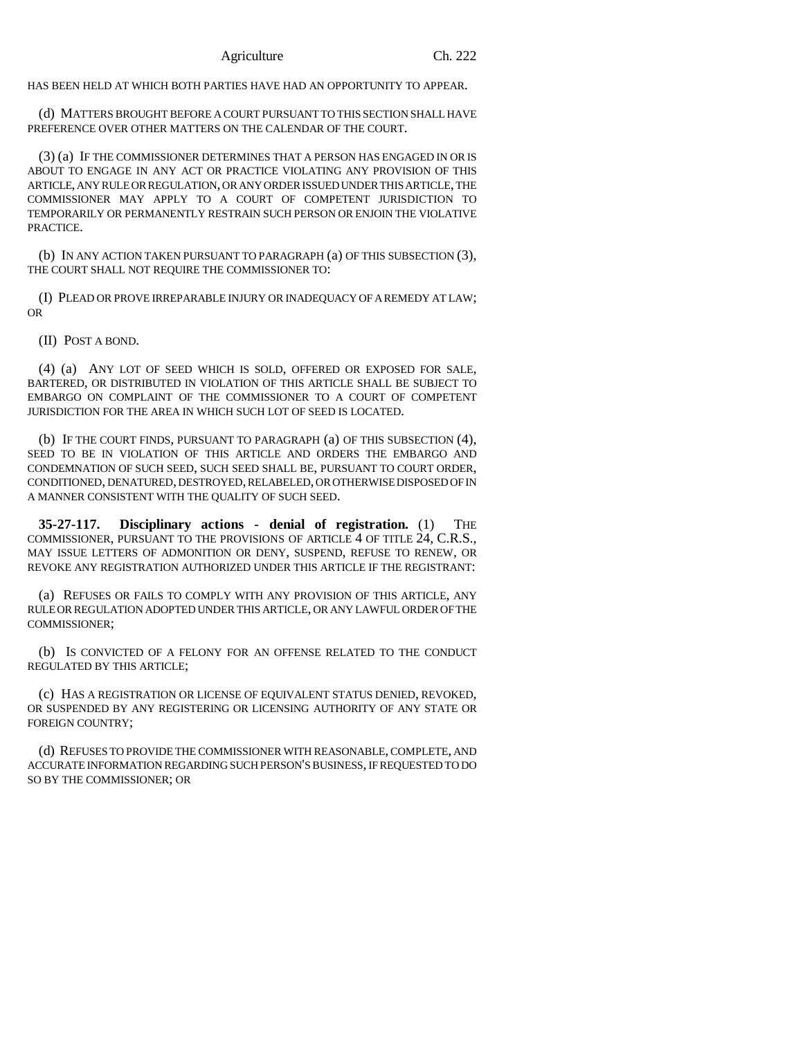HAS BEEN HELD AT WHICH BOTH PARTIES HAVE HAD AN OPPORTUNITY TO APPEAR.

(d) MATTERS BROUGHT BEFORE A COURT PURSUANT TO THIS SECTION SHALL HAVE PREFERENCE OVER OTHER MATTERS ON THE CALENDAR OF THE COURT.

(3) (a) IF THE COMMISSIONER DETERMINES THAT A PERSON HAS ENGAGED IN OR IS ABOUT TO ENGAGE IN ANY ACT OR PRACTICE VIOLATING ANY PROVISION OF THIS ARTICLE, ANY RULE OR REGULATION, OR ANY ORDER ISSUED UNDER THIS ARTICLE, THE COMMISSIONER MAY APPLY TO A COURT OF COMPETENT JURISDICTION TO TEMPORARILY OR PERMANENTLY RESTRAIN SUCH PERSON OR ENJOIN THE VIOLATIVE PRACTICE.

(b) IN ANY ACTION TAKEN PURSUANT TO PARAGRAPH (a) OF THIS SUBSECTION (3), THE COURT SHALL NOT REQUIRE THE COMMISSIONER TO:

(I) PLEAD OR PROVE IRREPARABLE INJURY OR INADEQUACY OF A REMEDY AT LAW; OR

(II) POST A BOND.

(4) (a) ANY LOT OF SEED WHICH IS SOLD, OFFERED OR EXPOSED FOR SALE, BARTERED, OR DISTRIBUTED IN VIOLATION OF THIS ARTICLE SHALL BE SUBJECT TO EMBARGO ON COMPLAINT OF THE COMMISSIONER TO A COURT OF COMPETENT JURISDICTION FOR THE AREA IN WHICH SUCH LOT OF SEED IS LOCATED.

(b) IF THE COURT FINDS, PURSUANT TO PARAGRAPH (a) OF THIS SUBSECTION (4), SEED TO BE IN VIOLATION OF THIS ARTICLE AND ORDERS THE EMBARGO AND CONDEMNATION OF SUCH SEED, SUCH SEED SHALL BE, PURSUANT TO COURT ORDER, CONDITIONED, DENATURED, DESTROYED, RELABELED, OR OTHERWISE DISPOSED OF IN A MANNER CONSISTENT WITH THE QUALITY OF SUCH SEED.

**35-27-117. Disciplinary actions - denial of registration.** (1) THE COMMISSIONER, PURSUANT TO THE PROVISIONS OF ARTICLE 4 OF TITLE 24, C.R.S., MAY ISSUE LETTERS OF ADMONITION OR DENY, SUSPEND, REFUSE TO RENEW, OR REVOKE ANY REGISTRATION AUTHORIZED UNDER THIS ARTICLE IF THE REGISTRANT:

(a) REFUSES OR FAILS TO COMPLY WITH ANY PROVISION OF THIS ARTICLE, ANY RULE OR REGULATION ADOPTED UNDER THIS ARTICLE, OR ANY LAWFUL ORDER OF THE COMMISSIONER;

(b) IS CONVICTED OF A FELONY FOR AN OFFENSE RELATED TO THE CONDUCT REGULATED BY THIS ARTICLE;

(c) HAS A REGISTRATION OR LICENSE OF EQUIVALENT STATUS DENIED, REVOKED, OR SUSPENDED BY ANY REGISTERING OR LICENSING AUTHORITY OF ANY STATE OR FOREIGN COUNTRY;

(d) REFUSES TO PROVIDE THE COMMISSIONER WITH REASONABLE, COMPLETE, AND ACCURATE INFORMATION REGARDING SUCH PERSON'S BUSINESS, IF REQUESTED TO DO SO BY THE COMMISSIONER; OR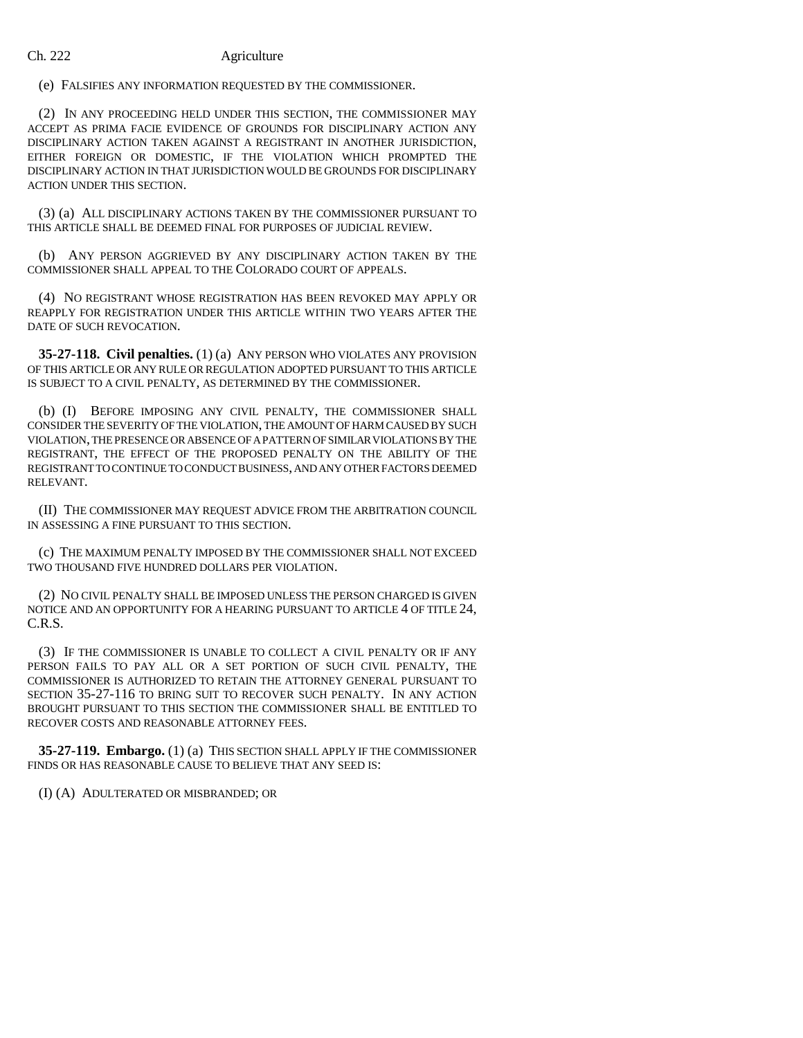(e) FALSIFIES ANY INFORMATION REQUESTED BY THE COMMISSIONER.

(2) IN ANY PROCEEDING HELD UNDER THIS SECTION, THE COMMISSIONER MAY ACCEPT AS PRIMA FACIE EVIDENCE OF GROUNDS FOR DISCIPLINARY ACTION ANY DISCIPLINARY ACTION TAKEN AGAINST A REGISTRANT IN ANOTHER JURISDICTION, EITHER FOREIGN OR DOMESTIC, IF THE VIOLATION WHICH PROMPTED THE DISCIPLINARY ACTION IN THAT JURISDICTION WOULD BE GROUNDS FOR DISCIPLINARY ACTION UNDER THIS SECTION.

(3) (a) ALL DISCIPLINARY ACTIONS TAKEN BY THE COMMISSIONER PURSUANT TO THIS ARTICLE SHALL BE DEEMED FINAL FOR PURPOSES OF JUDICIAL REVIEW.

(b) ANY PERSON AGGRIEVED BY ANY DISCIPLINARY ACTION TAKEN BY THE COMMISSIONER SHALL APPEAL TO THE COLORADO COURT OF APPEALS.

(4) NO REGISTRANT WHOSE REGISTRATION HAS BEEN REVOKED MAY APPLY OR REAPPLY FOR REGISTRATION UNDER THIS ARTICLE WITHIN TWO YEARS AFTER THE DATE OF SUCH REVOCATION.

**35-27-118. Civil penalties.** (1) (a) ANY PERSON WHO VIOLATES ANY PROVISION OF THIS ARTICLE OR ANY RULE OR REGULATION ADOPTED PURSUANT TO THIS ARTICLE IS SUBJECT TO A CIVIL PENALTY, AS DETERMINED BY THE COMMISSIONER.

(b) (I) BEFORE IMPOSING ANY CIVIL PENALTY, THE COMMISSIONER SHALL CONSIDER THE SEVERITY OF THE VIOLATION, THE AMOUNT OF HARM CAUSED BY SUCH VIOLATION, THE PRESENCE OR ABSENCE OF A PATTERN OF SIMILAR VIOLATIONS BY THE REGISTRANT, THE EFFECT OF THE PROPOSED PENALTY ON THE ABILITY OF THE REGISTRANT TO CONTINUE TO CONDUCT BUSINESS, AND ANY OTHER FACTORS DEEMED RELEVANT.

(II) THE COMMISSIONER MAY REQUEST ADVICE FROM THE ARBITRATION COUNCIL IN ASSESSING A FINE PURSUANT TO THIS SECTION.

(c) THE MAXIMUM PENALTY IMPOSED BY THE COMMISSIONER SHALL NOT EXCEED TWO THOUSAND FIVE HUNDRED DOLLARS PER VIOLATION.

(2) NO CIVIL PENALTY SHALL BE IMPOSED UNLESS THE PERSON CHARGED IS GIVEN NOTICE AND AN OPPORTUNITY FOR A HEARING PURSUANT TO ARTICLE 4 OF TITLE 24, C.R.S.

(3) IF THE COMMISSIONER IS UNABLE TO COLLECT A CIVIL PENALTY OR IF ANY PERSON FAILS TO PAY ALL OR A SET PORTION OF SUCH CIVIL PENALTY, THE COMMISSIONER IS AUTHORIZED TO RETAIN THE ATTORNEY GENERAL PURSUANT TO SECTION 35-27-116 TO BRING SUIT TO RECOVER SUCH PENALTY. IN ANY ACTION BROUGHT PURSUANT TO THIS SECTION THE COMMISSIONER SHALL BE ENTITLED TO RECOVER COSTS AND REASONABLE ATTORNEY FEES.

**35-27-119. Embargo.** (1) (a) THIS SECTION SHALL APPLY IF THE COMMISSIONER FINDS OR HAS REASONABLE CAUSE TO BELIEVE THAT ANY SEED IS:

(I) (A) ADULTERATED OR MISBRANDED; OR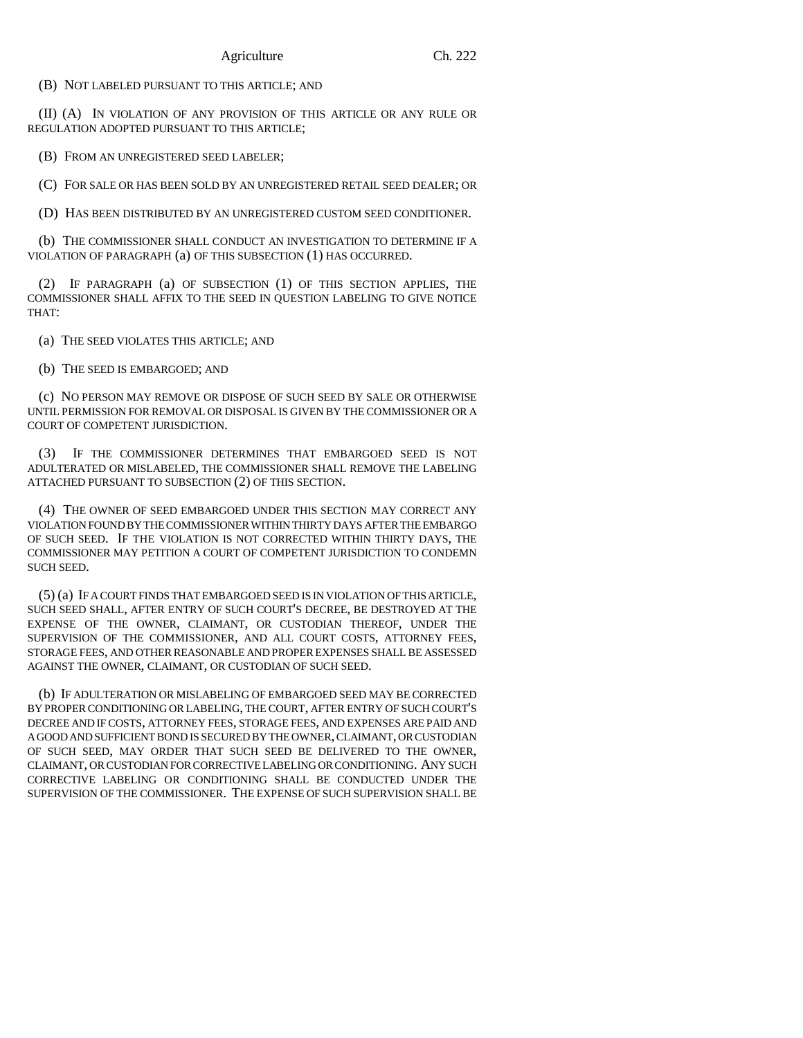(B) NOT LABELED PURSUANT TO THIS ARTICLE; AND

(II) (A) IN VIOLATION OF ANY PROVISION OF THIS ARTICLE OR ANY RULE OR REGULATION ADOPTED PURSUANT TO THIS ARTICLE;

(B) FROM AN UNREGISTERED SEED LABELER;

(C) FOR SALE OR HAS BEEN SOLD BY AN UNREGISTERED RETAIL SEED DEALER; OR

(D) HAS BEEN DISTRIBUTED BY AN UNREGISTERED CUSTOM SEED CONDITIONER.

(b) THE COMMISSIONER SHALL CONDUCT AN INVESTIGATION TO DETERMINE IF A VIOLATION OF PARAGRAPH (a) OF THIS SUBSECTION (1) HAS OCCURRED.

(2) IF PARAGRAPH (a) OF SUBSECTION (1) OF THIS SECTION APPLIES, THE COMMISSIONER SHALL AFFIX TO THE SEED IN QUESTION LABELING TO GIVE NOTICE THAT:

(a) THE SEED VIOLATES THIS ARTICLE; AND

(b) THE SEED IS EMBARGOED; AND

(c) NO PERSON MAY REMOVE OR DISPOSE OF SUCH SEED BY SALE OR OTHERWISE UNTIL PERMISSION FOR REMOVAL OR DISPOSAL IS GIVEN BY THE COMMISSIONER OR A COURT OF COMPETENT JURISDICTION.

(3) IF THE COMMISSIONER DETERMINES THAT EMBARGOED SEED IS NOT ADULTERATED OR MISLABELED, THE COMMISSIONER SHALL REMOVE THE LABELING ATTACHED PURSUANT TO SUBSECTION (2) OF THIS SECTION.

(4) THE OWNER OF SEED EMBARGOED UNDER THIS SECTION MAY CORRECT ANY VIOLATION FOUND BY THE COMMISSIONER WITHIN THIRTY DAYS AFTER THE EMBARGO OF SUCH SEED. IF THE VIOLATION IS NOT CORRECTED WITHIN THIRTY DAYS, THE COMMISSIONER MAY PETITION A COURT OF COMPETENT JURISDICTION TO CONDEMN SUCH SEED.

(5) (a) IF A COURT FINDS THAT EMBARGOED SEED IS IN VIOLATION OF THIS ARTICLE, SUCH SEED SHALL, AFTER ENTRY OF SUCH COURT'S DECREE, BE DESTROYED AT THE EXPENSE OF THE OWNER, CLAIMANT, OR CUSTODIAN THEREOF, UNDER THE SUPERVISION OF THE COMMISSIONER, AND ALL COURT COSTS, ATTORNEY FEES, STORAGE FEES, AND OTHER REASONABLE AND PROPER EXPENSES SHALL BE ASSESSED AGAINST THE OWNER, CLAIMANT, OR CUSTODIAN OF SUCH SEED.

(b) IF ADULTERATION OR MISLABELING OF EMBARGOED SEED MAY BE CORRECTED BY PROPER CONDITIONING OR LABELING, THE COURT, AFTER ENTRY OF SUCH COURT'S DECREE AND IF COSTS, ATTORNEY FEES, STORAGE FEES, AND EXPENSES ARE PAID AND A GOOD AND SUFFICIENT BOND IS SECURED BY THE OWNER, CLAIMANT, OR CUSTODIAN OF SUCH SEED, MAY ORDER THAT SUCH SEED BE DELIVERED TO THE OWNER, CLAIMANT, OR CUSTODIAN FOR CORRECTIVE LABELING OR CONDITIONING. ANY SUCH CORRECTIVE LABELING OR CONDITIONING SHALL BE CONDUCTED UNDER THE SUPERVISION OF THE COMMISSIONER. THE EXPENSE OF SUCH SUPERVISION SHALL BE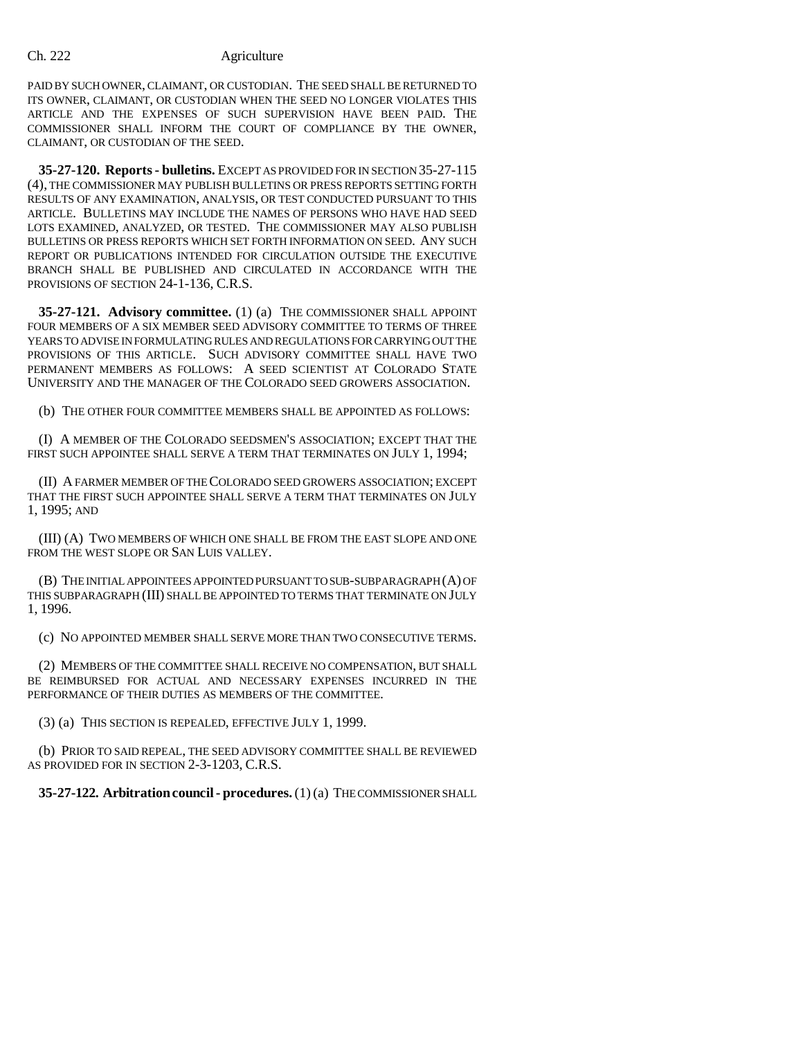PAID BY SUCH OWNER, CLAIMANT, OR CUSTODIAN. THE SEED SHALL BE RETURNED TO ITS OWNER, CLAIMANT, OR CUSTODIAN WHEN THE SEED NO LONGER VIOLATES THIS ARTICLE AND THE EXPENSES OF SUCH SUPERVISION HAVE BEEN PAID. THE COMMISSIONER SHALL INFORM THE COURT OF COMPLIANCE BY THE OWNER, CLAIMANT, OR CUSTODIAN OF THE SEED.

**35-27-120. Reports - bulletins.** EXCEPT AS PROVIDED FOR IN SECTION 35-27-115 (4), THE COMMISSIONER MAY PUBLISH BULLETINS OR PRESS REPORTS SETTING FORTH RESULTS OF ANY EXAMINATION, ANALYSIS, OR TEST CONDUCTED PURSUANT TO THIS ARTICLE. BULLETINS MAY INCLUDE THE NAMES OF PERSONS WHO HAVE HAD SEED LOTS EXAMINED, ANALYZED, OR TESTED. THE COMMISSIONER MAY ALSO PUBLISH BULLETINS OR PRESS REPORTS WHICH SET FORTH INFORMATION ON SEED. ANY SUCH REPORT OR PUBLICATIONS INTENDED FOR CIRCULATION OUTSIDE THE EXECUTIVE BRANCH SHALL BE PUBLISHED AND CIRCULATED IN ACCORDANCE WITH THE PROVISIONS OF SECTION 24-1-136, C.R.S.

**35-27-121. Advisory committee.** (1) (a) THE COMMISSIONER SHALL APPOINT FOUR MEMBERS OF A SIX MEMBER SEED ADVISORY COMMITTEE TO TERMS OF THREE YEARS TO ADVISE IN FORMULATING RULES AND REGULATIONS FOR CARRYING OUT THE PROVISIONS OF THIS ARTICLE. SUCH ADVISORY COMMITTEE SHALL HAVE TWO PERMANENT MEMBERS AS FOLLOWS: A SEED SCIENTIST AT COLORADO STATE UNIVERSITY AND THE MANAGER OF THE COLORADO SEED GROWERS ASSOCIATION.

(b) THE OTHER FOUR COMMITTEE MEMBERS SHALL BE APPOINTED AS FOLLOWS:

(I) A MEMBER OF THE COLORADO SEEDSMEN'S ASSOCIATION; EXCEPT THAT THE FIRST SUCH APPOINTEE SHALL SERVE A TERM THAT TERMINATES ON JULY 1, 1994;

(II) A FARMER MEMBER OF THE COLORADO SEED GROWERS ASSOCIATION; EXCEPT THAT THE FIRST SUCH APPOINTEE SHALL SERVE A TERM THAT TERMINATES ON JULY 1, 1995; AND

(III) (A) TWO MEMBERS OF WHICH ONE SHALL BE FROM THE EAST SLOPE AND ONE FROM THE WEST SLOPE OR SAN LUIS VALLEY.

(B) THE INITIAL APPOINTEES APPOINTED PURSUANT TO SUB-SUBPARAGRAPH (A) OF THIS SUBPARAGRAPH (III) SHALL BE APPOINTED TO TERMS THAT TERMINATE ON JULY 1, 1996.

(c) NO APPOINTED MEMBER SHALL SERVE MORE THAN TWO CONSECUTIVE TERMS.

(2) MEMBERS OF THE COMMITTEE SHALL RECEIVE NO COMPENSATION, BUT SHALL BE REIMBURSED FOR ACTUAL AND NECESSARY EXPENSES INCURRED IN THE PERFORMANCE OF THEIR DUTIES AS MEMBERS OF THE COMMITTEE.

(3) (a) THIS SECTION IS REPEALED, EFFECTIVE JULY 1, 1999.

(b) PRIOR TO SAID REPEAL, THE SEED ADVISORY COMMITTEE SHALL BE REVIEWED AS PROVIDED FOR IN SECTION 2-3-1203, C.R.S.

**35-27-122. Arbitration council - procedures.** (1) (a) THE COMMISSIONER SHALL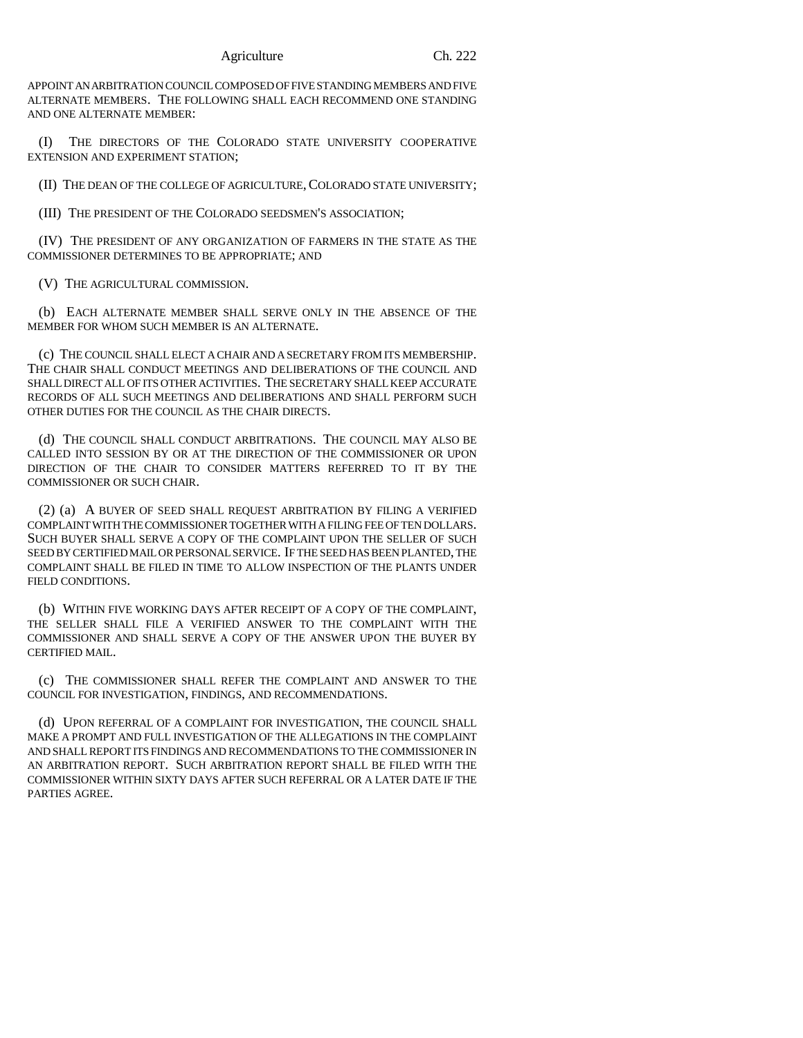APPOINT AN ARBITRATION COUNCIL COMPOSED OF FIVE STANDING MEMBERS AND FIVE ALTERNATE MEMBERS. THE FOLLOWING SHALL EACH RECOMMEND ONE STANDING AND ONE ALTERNATE MEMBER:

(I) THE DIRECTORS OF THE COLORADO STATE UNIVERSITY COOPERATIVE EXTENSION AND EXPERIMENT STATION;

(II) THE DEAN OF THE COLLEGE OF AGRICULTURE,COLORADO STATE UNIVERSITY;

(III) THE PRESIDENT OF THE COLORADO SEEDSMEN'S ASSOCIATION;

(IV) THE PRESIDENT OF ANY ORGANIZATION OF FARMERS IN THE STATE AS THE COMMISSIONER DETERMINES TO BE APPROPRIATE; AND

(V) THE AGRICULTURAL COMMISSION.

(b) EACH ALTERNATE MEMBER SHALL SERVE ONLY IN THE ABSENCE OF THE MEMBER FOR WHOM SUCH MEMBER IS AN ALTERNATE.

(c) THE COUNCIL SHALL ELECT A CHAIR AND A SECRETARY FROM ITS MEMBERSHIP. THE CHAIR SHALL CONDUCT MEETINGS AND DELIBERATIONS OF THE COUNCIL AND SHALL DIRECT ALL OF ITS OTHER ACTIVITIES. THE SECRETARY SHALL KEEP ACCURATE RECORDS OF ALL SUCH MEETINGS AND DELIBERATIONS AND SHALL PERFORM SUCH OTHER DUTIES FOR THE COUNCIL AS THE CHAIR DIRECTS.

(d) THE COUNCIL SHALL CONDUCT ARBITRATIONS. THE COUNCIL MAY ALSO BE CALLED INTO SESSION BY OR AT THE DIRECTION OF THE COMMISSIONER OR UPON DIRECTION OF THE CHAIR TO CONSIDER MATTERS REFERRED TO IT BY THE COMMISSIONER OR SUCH CHAIR.

(2) (a) A BUYER OF SEED SHALL REQUEST ARBITRATION BY FILING A VERIFIED COMPLAINT WITH THE COMMISSIONER TOGETHER WITH A FILING FEE OF TEN DOLLARS. SUCH BUYER SHALL SERVE A COPY OF THE COMPLAINT UPON THE SELLER OF SUCH SEED BY CERTIFIED MAIL OR PERSONAL SERVICE. IF THE SEED HAS BEEN PLANTED, THE COMPLAINT SHALL BE FILED IN TIME TO ALLOW INSPECTION OF THE PLANTS UNDER FIELD CONDITIONS.

(b) WITHIN FIVE WORKING DAYS AFTER RECEIPT OF A COPY OF THE COMPLAINT, THE SELLER SHALL FILE A VERIFIED ANSWER TO THE COMPLAINT WITH THE COMMISSIONER AND SHALL SERVE A COPY OF THE ANSWER UPON THE BUYER BY CERTIFIED MAIL.

(c) THE COMMISSIONER SHALL REFER THE COMPLAINT AND ANSWER TO THE COUNCIL FOR INVESTIGATION, FINDINGS, AND RECOMMENDATIONS.

(d) UPON REFERRAL OF A COMPLAINT FOR INVESTIGATION, THE COUNCIL SHALL MAKE A PROMPT AND FULL INVESTIGATION OF THE ALLEGATIONS IN THE COMPLAINT AND SHALL REPORT ITS FINDINGS AND RECOMMENDATIONS TO THE COMMISSIONER IN AN ARBITRATION REPORT. SUCH ARBITRATION REPORT SHALL BE FILED WITH THE COMMISSIONER WITHIN SIXTY DAYS AFTER SUCH REFERRAL OR A LATER DATE IF THE PARTIES AGREE.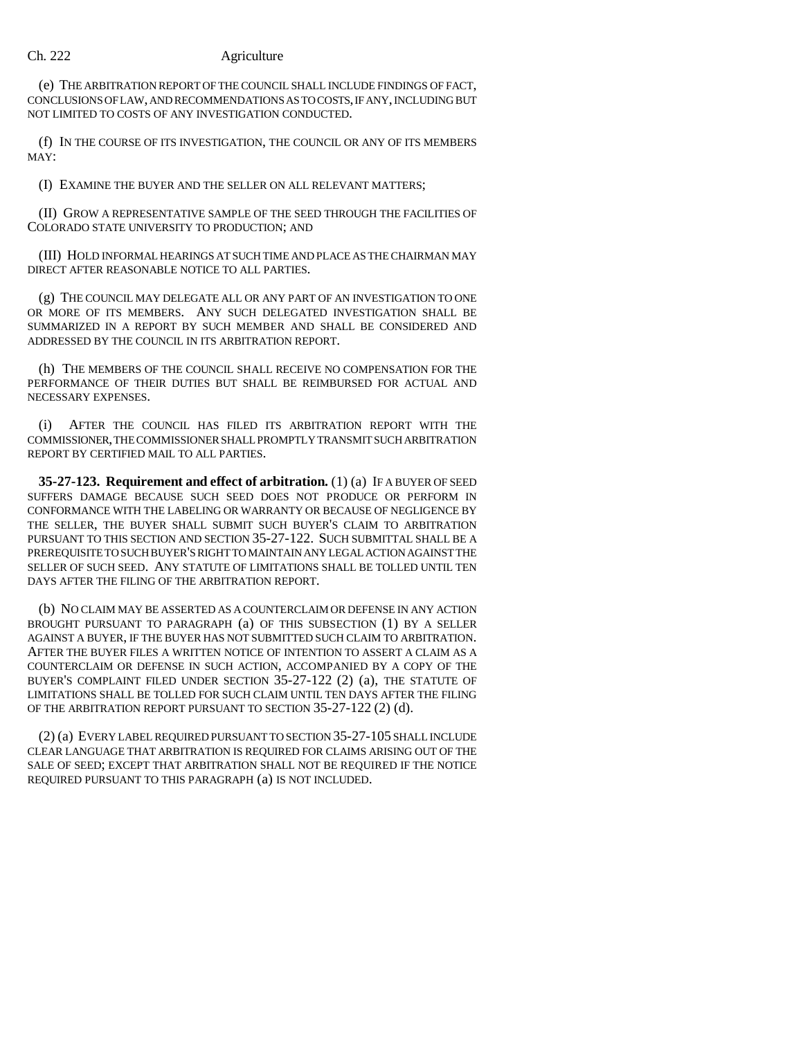(e) THE ARBITRATION REPORT OF THE COUNCIL SHALL INCLUDE FINDINGS OF FACT, CONCLUSIONS OF LAW, AND RECOMMENDATIONS AS TO COSTS, IF ANY, INCLUDING BUT NOT LIMITED TO COSTS OF ANY INVESTIGATION CONDUCTED.

(f) IN THE COURSE OF ITS INVESTIGATION, THE COUNCIL OR ANY OF ITS MEMBERS MAY:

(I) EXAMINE THE BUYER AND THE SELLER ON ALL RELEVANT MATTERS;

(II) GROW A REPRESENTATIVE SAMPLE OF THE SEED THROUGH THE FACILITIES OF COLORADO STATE UNIVERSITY TO PRODUCTION; AND

(III) HOLD INFORMAL HEARINGS AT SUCH TIME AND PLACE AS THE CHAIRMAN MAY DIRECT AFTER REASONABLE NOTICE TO ALL PARTIES.

(g) THE COUNCIL MAY DELEGATE ALL OR ANY PART OF AN INVESTIGATION TO ONE OR MORE OF ITS MEMBERS. ANY SUCH DELEGATED INVESTIGATION SHALL BE SUMMARIZED IN A REPORT BY SUCH MEMBER AND SHALL BE CONSIDERED AND ADDRESSED BY THE COUNCIL IN ITS ARBITRATION REPORT.

(h) THE MEMBERS OF THE COUNCIL SHALL RECEIVE NO COMPENSATION FOR THE PERFORMANCE OF THEIR DUTIES BUT SHALL BE REIMBURSED FOR ACTUAL AND NECESSARY EXPENSES.

(i) AFTER THE COUNCIL HAS FILED ITS ARBITRATION REPORT WITH THE COMMISSIONER, THE COMMISSIONER SHALL PROMPTLY TRANSMIT SUCH ARBITRATION REPORT BY CERTIFIED MAIL TO ALL PARTIES.

**35-27-123. Requirement and effect of arbitration.** (1) (a) IF A BUYER OF SEED SUFFERS DAMAGE BECAUSE SUCH SEED DOES NOT PRODUCE OR PERFORM IN CONFORMANCE WITH THE LABELING OR WARRANTY OR BECAUSE OF NEGLIGENCE BY THE SELLER, THE BUYER SHALL SUBMIT SUCH BUYER'S CLAIM TO ARBITRATION PURSUANT TO THIS SECTION AND SECTION 35-27-122. SUCH SUBMITTAL SHALL BE A PREREQUISITE TO SUCH BUYER'S RIGHT TO MAINTAIN ANY LEGAL ACTION AGAINST THE SELLER OF SUCH SEED. ANY STATUTE OF LIMITATIONS SHALL BE TOLLED UNTIL TEN DAYS AFTER THE FILING OF THE ARBITRATION REPORT.

(b) NO CLAIM MAY BE ASSERTED AS A COUNTERCLAIM OR DEFENSE IN ANY ACTION BROUGHT PURSUANT TO PARAGRAPH (a) OF THIS SUBSECTION (1) BY A SELLER AGAINST A BUYER, IF THE BUYER HAS NOT SUBMITTED SUCH CLAIM TO ARBITRATION. AFTER THE BUYER FILES A WRITTEN NOTICE OF INTENTION TO ASSERT A CLAIM AS A COUNTERCLAIM OR DEFENSE IN SUCH ACTION, ACCOMPANIED BY A COPY OF THE BUYER'S COMPLAINT FILED UNDER SECTION 35-27-122 (2) (a), THE STATUTE OF LIMITATIONS SHALL BE TOLLED FOR SUCH CLAIM UNTIL TEN DAYS AFTER THE FILING OF THE ARBITRATION REPORT PURSUANT TO SECTION 35-27-122 (2) (d).

(2) (a) EVERY LABEL REQUIRED PURSUANT TO SECTION 35-27-105 SHALL INCLUDE CLEAR LANGUAGE THAT ARBITRATION IS REQUIRED FOR CLAIMS ARISING OUT OF THE SALE OF SEED; EXCEPT THAT ARBITRATION SHALL NOT BE REQUIRED IF THE NOTICE REQUIRED PURSUANT TO THIS PARAGRAPH (a) IS NOT INCLUDED.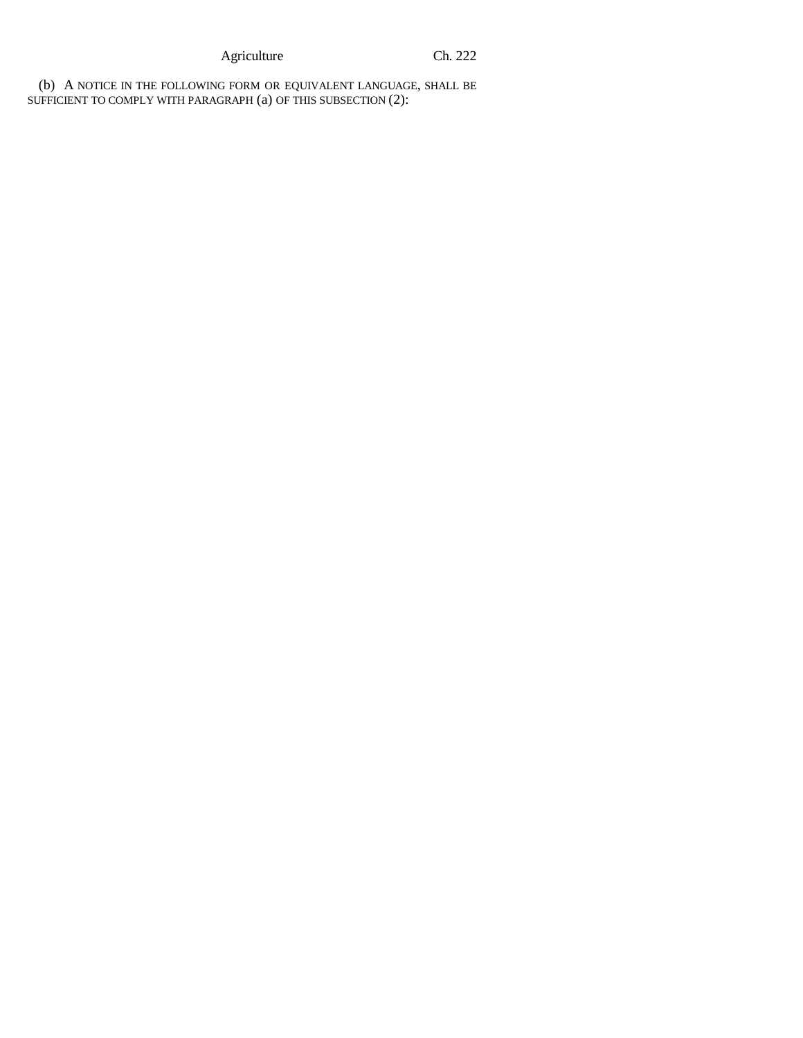Agriculture Ch. 222

(b) A NOTICE IN THE FOLLOWING FORM OR EQUIVALENT LANGUAGE, SHALL BE SUFFICIENT TO COMPLY WITH PARAGRAPH (a) OF THIS SUBSECTION (2):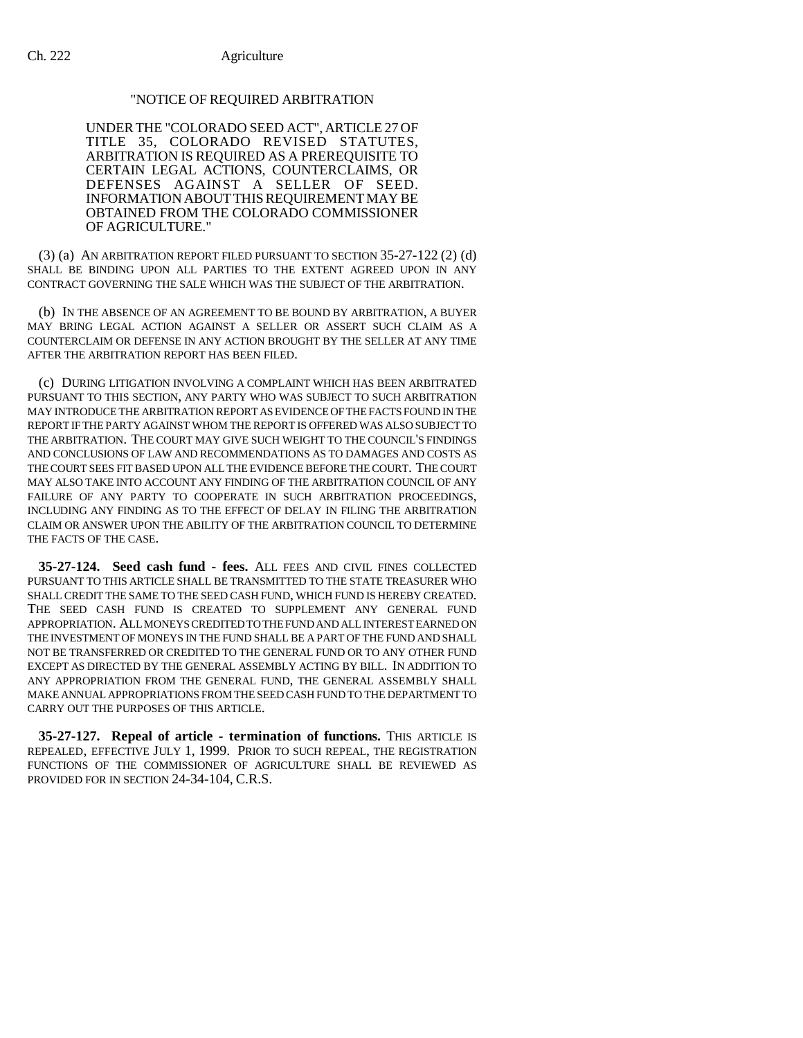# "NOTICE OF REQUIRED ARBITRATION

UNDERTHE "COLORADO SEED ACT", ARTICLE 27 OF TITLE 35, COLORADO REVISED STATUTES, ARBITRATION IS REQUIRED AS A PREREQUISITE TO CERTAIN LEGAL ACTIONS, COUNTERCLAIMS, OR DEFENSES AGAINST A SELLER OF SEED. INFORMATION ABOUT THIS REQUIREMENT MAY BE OBTAINED FROM THE COLORADO COMMISSIONER OF AGRICULTURE."

(3) (a) AN ARBITRATION REPORT FILED PURSUANT TO SECTION 35-27-122 (2) (d) SHALL BE BINDING UPON ALL PARTIES TO THE EXTENT AGREED UPON IN ANY CONTRACT GOVERNING THE SALE WHICH WAS THE SUBJECT OF THE ARBITRATION.

(b) IN THE ABSENCE OF AN AGREEMENT TO BE BOUND BY ARBITRATION, A BUYER MAY BRING LEGAL ACTION AGAINST A SELLER OR ASSERT SUCH CLAIM AS A COUNTERCLAIM OR DEFENSE IN ANY ACTION BROUGHT BY THE SELLER AT ANY TIME AFTER THE ARBITRATION REPORT HAS BEEN FILED.

(c) DURING LITIGATION INVOLVING A COMPLAINT WHICH HAS BEEN ARBITRATED PURSUANT TO THIS SECTION, ANY PARTY WHO WAS SUBJECT TO SUCH ARBITRATION MAY INTRODUCE THE ARBITRATION REPORT AS EVIDENCE OF THE FACTS FOUND IN THE REPORT IF THE PARTY AGAINST WHOM THE REPORT IS OFFERED WAS ALSO SUBJECT TO THE ARBITRATION. THE COURT MAY GIVE SUCH WEIGHT TO THE COUNCIL'S FINDINGS AND CONCLUSIONS OF LAW AND RECOMMENDATIONS AS TO DAMAGES AND COSTS AS THE COURT SEES FIT BASED UPON ALL THE EVIDENCE BEFORE THE COURT. THE COURT MAY ALSO TAKE INTO ACCOUNT ANY FINDING OF THE ARBITRATION COUNCIL OF ANY FAILURE OF ANY PARTY TO COOPERATE IN SUCH ARBITRATION PROCEEDINGS, INCLUDING ANY FINDING AS TO THE EFFECT OF DELAY IN FILING THE ARBITRATION CLAIM OR ANSWER UPON THE ABILITY OF THE ARBITRATION COUNCIL TO DETERMINE THE FACTS OF THE CASE.

**35-27-124. Seed cash fund - fees.** ALL FEES AND CIVIL FINES COLLECTED PURSUANT TO THIS ARTICLE SHALL BE TRANSMITTED TO THE STATE TREASURER WHO SHALL CREDIT THE SAME TO THE SEED CASH FUND, WHICH FUND IS HEREBY CREATED. THE SEED CASH FUND IS CREATED TO SUPPLEMENT ANY GENERAL FUND APPROPRIATION. ALL MONEYS CREDITED TO THE FUND AND ALL INTEREST EARNED ON THE INVESTMENT OF MONEYS IN THE FUND SHALL BE A PART OF THE FUND AND SHALL NOT BE TRANSFERRED OR CREDITED TO THE GENERAL FUND OR TO ANY OTHER FUND EXCEPT AS DIRECTED BY THE GENERAL ASSEMBLY ACTING BY BILL. IN ADDITION TO ANY APPROPRIATION FROM THE GENERAL FUND, THE GENERAL ASSEMBLY SHALL MAKE ANNUAL APPROPRIATIONS FROM THE SEED CASH FUND TO THE DEPARTMENT TO CARRY OUT THE PURPOSES OF THIS ARTICLE.

**35-27-127. Repeal of article - termination of functions.** THIS ARTICLE IS REPEALED, EFFECTIVE JULY 1, 1999. PRIOR TO SUCH REPEAL, THE REGISTRATION FUNCTIONS OF THE COMMISSIONER OF AGRICULTURE SHALL BE REVIEWED AS PROVIDED FOR IN SECTION 24-34-104, C.R.S.